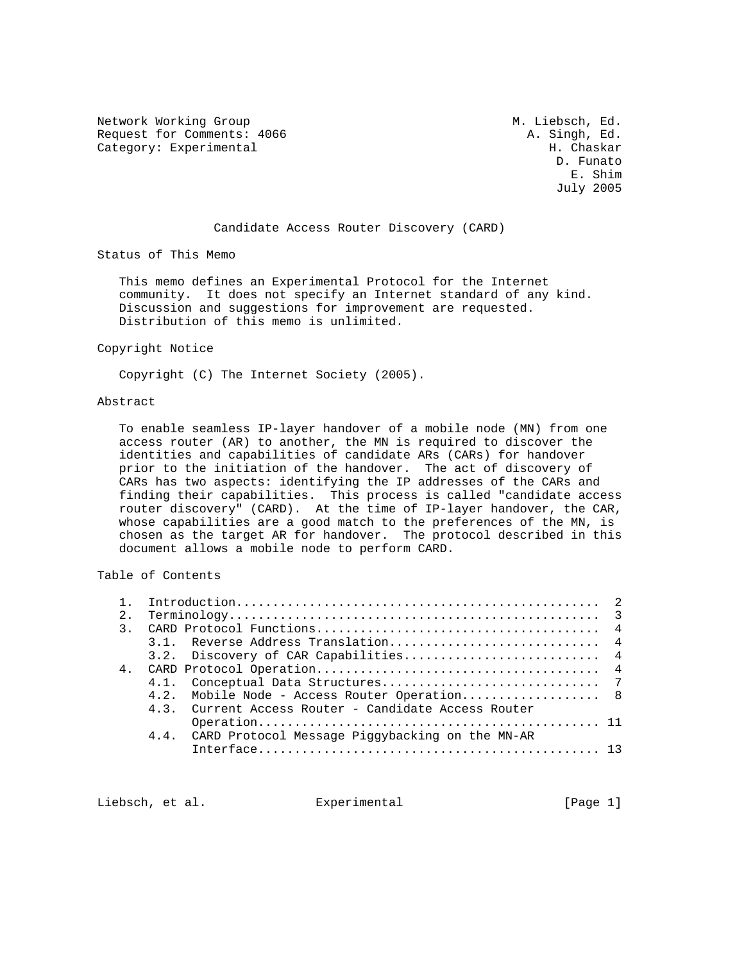Network Working Group 1999 M. Liebsch, Ed. 2016 M. Liebsch, Ed. 2016 Request for Comments: 4066 Category: Experimental H. Chaskar

 D. Funato E. Shim July 2005

### Candidate Access Router Discovery (CARD)

Status of This Memo

 This memo defines an Experimental Protocol for the Internet community. It does not specify an Internet standard of any kind. Discussion and suggestions for improvement are requested. Distribution of this memo is unlimited.

#### Copyright Notice

Copyright (C) The Internet Society (2005).

### Abstract

 To enable seamless IP-layer handover of a mobile node (MN) from one access router (AR) to another, the MN is required to discover the identities and capabilities of candidate ARs (CARs) for handover prior to the initiation of the handover. The act of discovery of CARs has two aspects: identifying the IP addresses of the CARs and finding their capabilities. This process is called "candidate access router discovery" (CARD). At the time of IP-layer handover, the CAR, whose capabilities are a good match to the preferences of the MN, is chosen as the target AR for handover. The protocol described in this document allows a mobile node to perform CARD.

# Table of Contents

| 2.            |                                                      |  |  |  |
|---------------|------------------------------------------------------|--|--|--|
| $\mathcal{R}$ |                                                      |  |  |  |
|               |                                                      |  |  |  |
|               |                                                      |  |  |  |
|               |                                                      |  |  |  |
|               |                                                      |  |  |  |
|               | 4.2. Mobile Node - Access Router Operation 8         |  |  |  |
|               | 4.3. Current Access Router - Candidate Access Router |  |  |  |
|               |                                                      |  |  |  |
|               | 4.4. CARD Protocol Message Piggybacking on the MN-AR |  |  |  |
|               |                                                      |  |  |  |
|               |                                                      |  |  |  |

Liebsch, et al. Experimental [Page 1]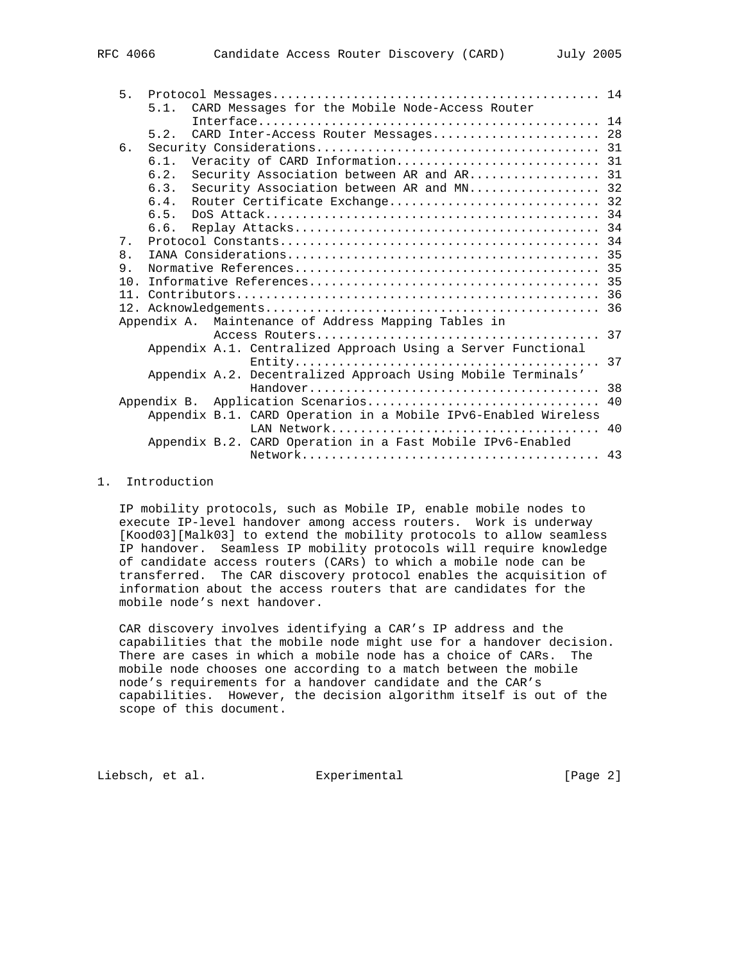| 5 <sub>1</sub>  |      |                                                                |    |
|-----------------|------|----------------------------------------------------------------|----|
|                 |      | 5.1. CARD Messages for the Mobile Node-Access Router           |    |
|                 |      |                                                                |    |
|                 | 5.2. | CARD Inter-Access Router Messages 28                           |    |
| б.              |      |                                                                |    |
|                 | 6.1. |                                                                |    |
|                 | 6.2. | Security Association between AR and AR 31                      |    |
|                 | 6.3. | Security Association between AR and MN 32                      |    |
|                 | 6.4. | Router Certificate Exchange 32                                 |    |
|                 | 6.5. |                                                                |    |
|                 | 6.6. |                                                                |    |
| $7$ .           |      |                                                                |    |
| 8.              |      |                                                                |    |
| 9.              |      |                                                                |    |
| 10 <sub>1</sub> |      |                                                                |    |
|                 |      |                                                                |    |
|                 |      |                                                                |    |
|                 |      | Appendix A. Maintenance of Address Mapping Tables in           |    |
|                 |      |                                                                |    |
|                 |      | Appendix A.1. Centralized Approach Using a Server Functional   |    |
|                 |      |                                                                | 37 |
|                 |      | Appendix A.2. Decentralized Approach Using Mobile Terminals'   |    |
|                 |      |                                                                | 38 |
|                 |      | Appendix B. Application Scenarios                              | 40 |
|                 |      | Appendix B.1. CARD Operation in a Mobile IPv6-Enabled Wireless |    |
|                 |      |                                                                |    |
|                 |      | Appendix B.2. CARD Operation in a Fast Mobile IPv6-Enabled     |    |
|                 |      |                                                                |    |

### 1. Introduction

 IP mobility protocols, such as Mobile IP, enable mobile nodes to execute IP-level handover among access routers. Work is underway [Kood03][Malk03] to extend the mobility protocols to allow seamless IP handover. Seamless IP mobility protocols will require knowledge of candidate access routers (CARs) to which a mobile node can be transferred. The CAR discovery protocol enables the acquisition of information about the access routers that are candidates for the mobile node's next handover.

 CAR discovery involves identifying a CAR's IP address and the capabilities that the mobile node might use for a handover decision. There are cases in which a mobile node has a choice of CARs. The mobile node chooses one according to a match between the mobile node's requirements for a handover candidate and the CAR's capabilities. However, the decision algorithm itself is out of the scope of this document.

Liebsch, et al. Experimental [Page 2]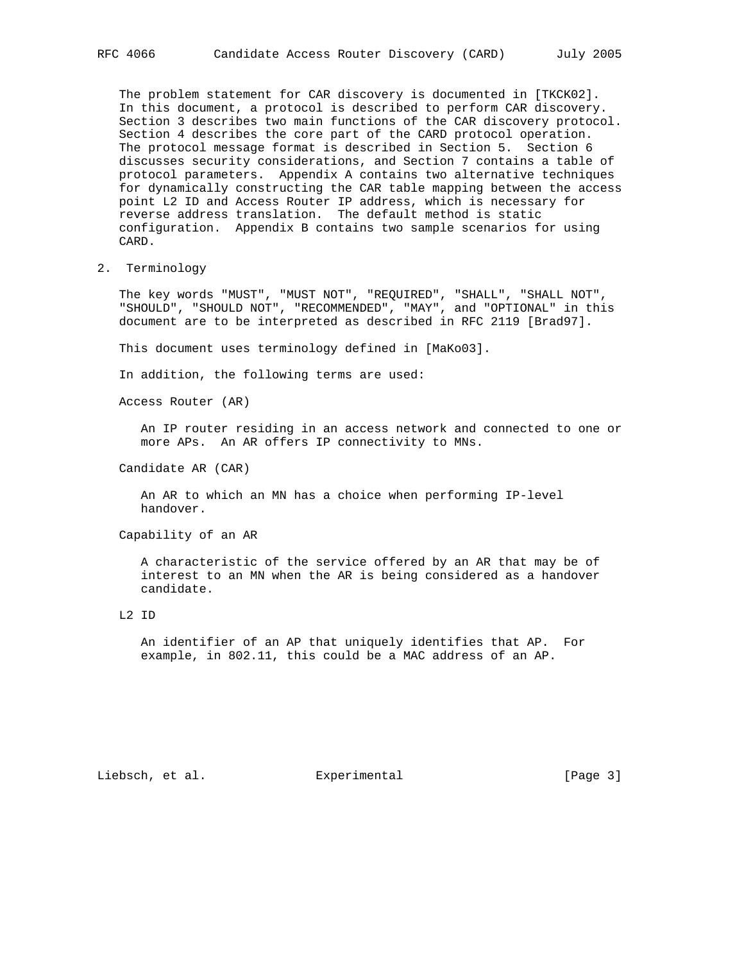The problem statement for CAR discovery is documented in [TKCK02]. In this document, a protocol is described to perform CAR discovery. Section 3 describes two main functions of the CAR discovery protocol. Section 4 describes the core part of the CARD protocol operation. The protocol message format is described in Section 5. Section 6 discusses security considerations, and Section 7 contains a table of protocol parameters. Appendix A contains two alternative techniques for dynamically constructing the CAR table mapping between the access point L2 ID and Access Router IP address, which is necessary for reverse address translation. The default method is static configuration. Appendix B contains two sample scenarios for using CARD.

2. Terminology

 The key words "MUST", "MUST NOT", "REQUIRED", "SHALL", "SHALL NOT", "SHOULD", "SHOULD NOT", "RECOMMENDED", "MAY", and "OPTIONAL" in this document are to be interpreted as described in RFC 2119 [Brad97].

This document uses terminology defined in [MaKo03].

In addition, the following terms are used:

Access Router (AR)

 An IP router residing in an access network and connected to one or more APs. An AR offers IP connectivity to MNs.

Candidate AR (CAR)

 An AR to which an MN has a choice when performing IP-level handover.

Capability of an AR

 A characteristic of the service offered by an AR that may be of interest to an MN when the AR is being considered as a handover candidate.

 An identifier of an AP that uniquely identifies that AP. For example, in 802.11, this could be a MAC address of an AP.

Liebsch, et al. Experimental [Page 3]

L2 ID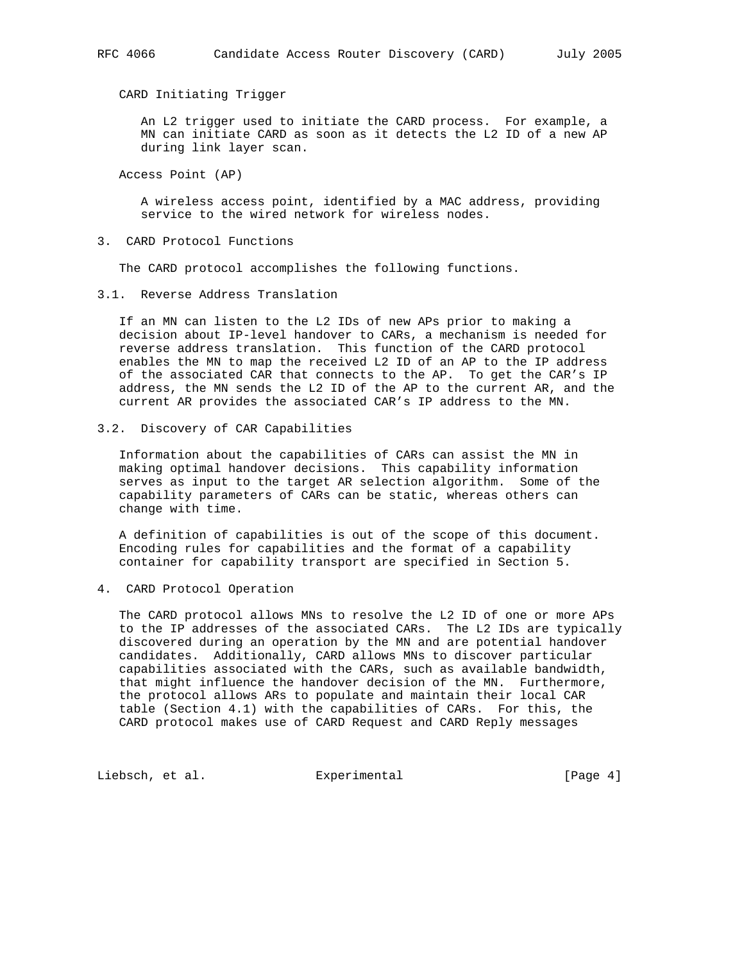CARD Initiating Trigger

 An L2 trigger used to initiate the CARD process. For example, a MN can initiate CARD as soon as it detects the L2 ID of a new AP during link layer scan.

Access Point (AP)

 A wireless access point, identified by a MAC address, providing service to the wired network for wireless nodes.

3. CARD Protocol Functions

The CARD protocol accomplishes the following functions.

3.1. Reverse Address Translation

 If an MN can listen to the L2 IDs of new APs prior to making a decision about IP-level handover to CARs, a mechanism is needed for reverse address translation. This function of the CARD protocol enables the MN to map the received L2 ID of an AP to the IP address of the associated CAR that connects to the AP. To get the CAR's IP address, the MN sends the L2 ID of the AP to the current AR, and the current AR provides the associated CAR's IP address to the MN.

3.2. Discovery of CAR Capabilities

 Information about the capabilities of CARs can assist the MN in making optimal handover decisions. This capability information serves as input to the target AR selection algorithm. Some of the capability parameters of CARs can be static, whereas others can change with time.

 A definition of capabilities is out of the scope of this document. Encoding rules for capabilities and the format of a capability container for capability transport are specified in Section 5.

4. CARD Protocol Operation

 The CARD protocol allows MNs to resolve the L2 ID of one or more APs to the IP addresses of the associated CARs. The L2 IDs are typically discovered during an operation by the MN and are potential handover candidates. Additionally, CARD allows MNs to discover particular capabilities associated with the CARs, such as available bandwidth, that might influence the handover decision of the MN. Furthermore, the protocol allows ARs to populate and maintain their local CAR table (Section 4.1) with the capabilities of CARs. For this, the CARD protocol makes use of CARD Request and CARD Reply messages

Liebsch, et al. Experimental [Page 4]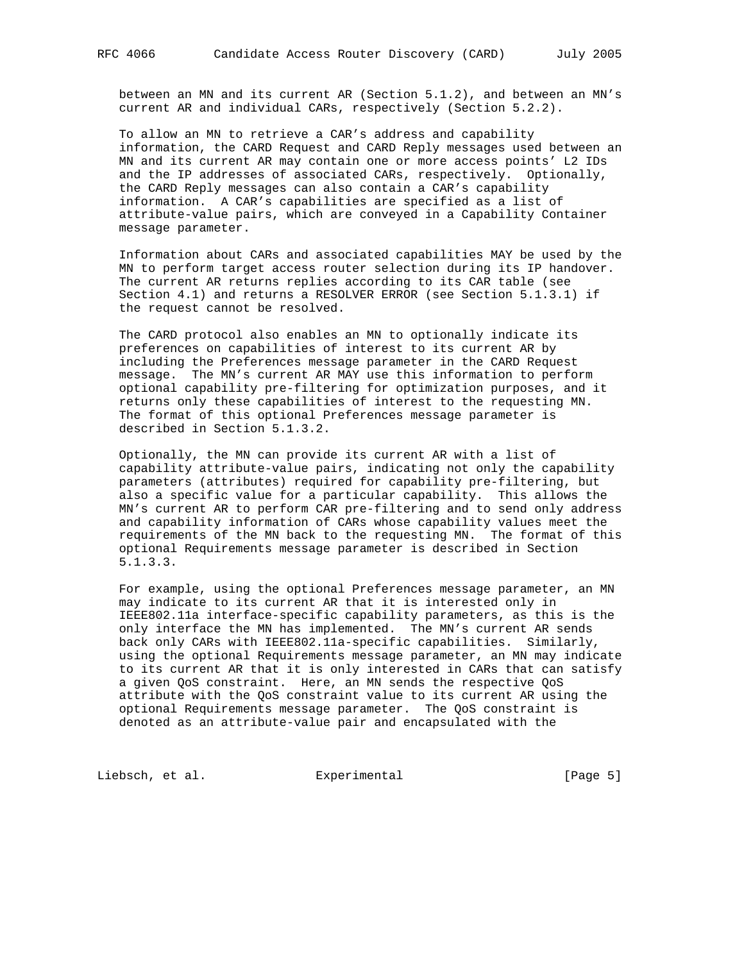between an MN and its current AR (Section 5.1.2), and between an MN's current AR and individual CARs, respectively (Section 5.2.2).

 To allow an MN to retrieve a CAR's address and capability information, the CARD Request and CARD Reply messages used between an MN and its current AR may contain one or more access points' L2 IDs and the IP addresses of associated CARs, respectively. Optionally, the CARD Reply messages can also contain a CAR's capability information. A CAR's capabilities are specified as a list of attribute-value pairs, which are conveyed in a Capability Container message parameter.

 Information about CARs and associated capabilities MAY be used by the MN to perform target access router selection during its IP handover. The current AR returns replies according to its CAR table (see Section 4.1) and returns a RESOLVER ERROR (see Section 5.1.3.1) if the request cannot be resolved.

 The CARD protocol also enables an MN to optionally indicate its preferences on capabilities of interest to its current AR by including the Preferences message parameter in the CARD Request message. The MN's current AR MAY use this information to perform optional capability pre-filtering for optimization purposes, and it returns only these capabilities of interest to the requesting MN. The format of this optional Preferences message parameter is described in Section 5.1.3.2.

 Optionally, the MN can provide its current AR with a list of capability attribute-value pairs, indicating not only the capability parameters (attributes) required for capability pre-filtering, but also a specific value for a particular capability. This allows the MN's current AR to perform CAR pre-filtering and to send only address and capability information of CARs whose capability values meet the requirements of the MN back to the requesting MN. The format of this optional Requirements message parameter is described in Section 5.1.3.3.

 For example, using the optional Preferences message parameter, an MN may indicate to its current AR that it is interested only in IEEE802.11a interface-specific capability parameters, as this is the only interface the MN has implemented. The MN's current AR sends back only CARs with IEEE802.11a-specific capabilities. Similarly, using the optional Requirements message parameter, an MN may indicate to its current AR that it is only interested in CARs that can satisfy a given QoS constraint. Here, an MN sends the respective QoS attribute with the QoS constraint value to its current AR using the optional Requirements message parameter. The QoS constraint is denoted as an attribute-value pair and encapsulated with the

Liebsch, et al. Experimental [Page 5]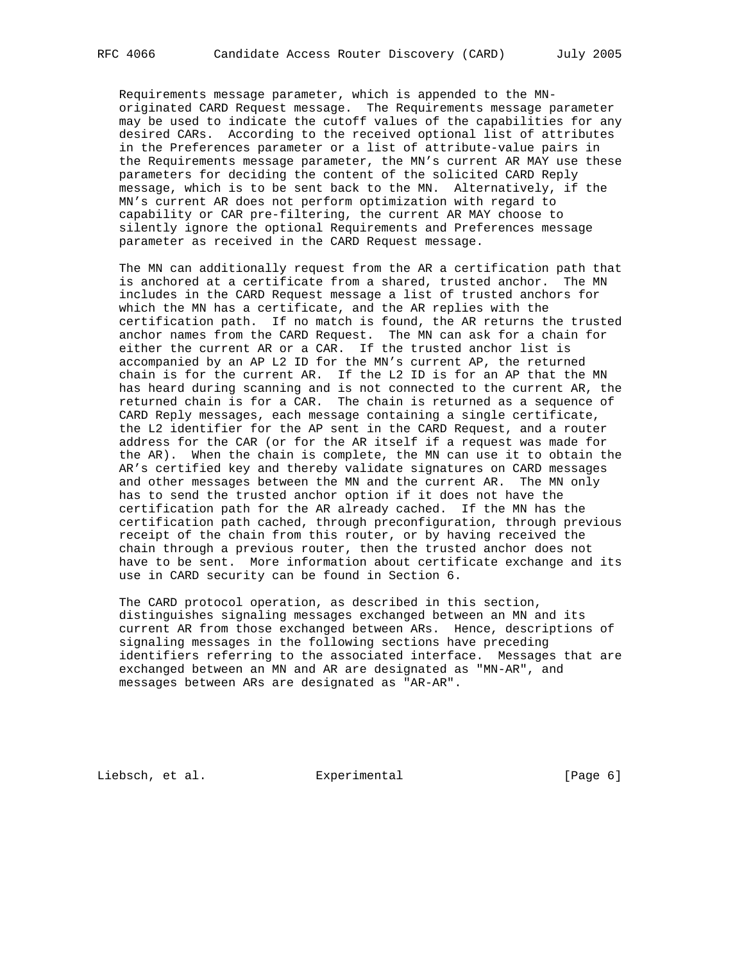Requirements message parameter, which is appended to the MN originated CARD Request message. The Requirements message parameter may be used to indicate the cutoff values of the capabilities for any desired CARs. According to the received optional list of attributes in the Preferences parameter or a list of attribute-value pairs in the Requirements message parameter, the MN's current AR MAY use these parameters for deciding the content of the solicited CARD Reply message, which is to be sent back to the MN. Alternatively, if the MN's current AR does not perform optimization with regard to capability or CAR pre-filtering, the current AR MAY choose to silently ignore the optional Requirements and Preferences message parameter as received in the CARD Request message.

 The MN can additionally request from the AR a certification path that is anchored at a certificate from a shared, trusted anchor. The MN includes in the CARD Request message a list of trusted anchors for which the MN has a certificate, and the AR replies with the certification path. If no match is found, the AR returns the trusted anchor names from the CARD Request. The MN can ask for a chain for either the current AR or a CAR. If the trusted anchor list is accompanied by an AP L2 ID for the MN's current AP, the returned chain is for the current AR. If the L2 ID is for an AP that the MN has heard during scanning and is not connected to the current AR, the returned chain is for a CAR. The chain is returned as a sequence of CARD Reply messages, each message containing a single certificate, the L2 identifier for the AP sent in the CARD Request, and a router address for the CAR (or for the AR itself if a request was made for the AR). When the chain is complete, the MN can use it to obtain the AR's certified key and thereby validate signatures on CARD messages and other messages between the MN and the current AR. The MN only has to send the trusted anchor option if it does not have the certification path for the AR already cached. If the MN has the certification path cached, through preconfiguration, through previous receipt of the chain from this router, or by having received the chain through a previous router, then the trusted anchor does not have to be sent. More information about certificate exchange and its use in CARD security can be found in Section 6.

 The CARD protocol operation, as described in this section, distinguishes signaling messages exchanged between an MN and its current AR from those exchanged between ARs. Hence, descriptions of signaling messages in the following sections have preceding identifiers referring to the associated interface. Messages that are exchanged between an MN and AR are designated as "MN-AR", and messages between ARs are designated as "AR-AR".

Liebsch, et al. Experimental [Page 6]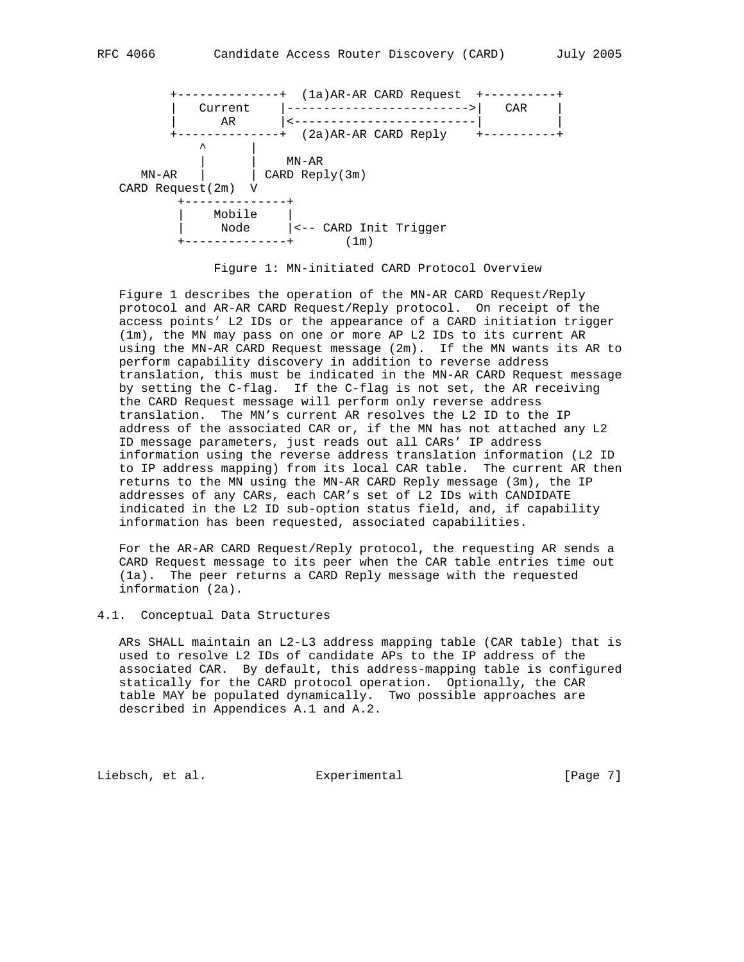

Figure 1: MN-initiated CARD Protocol Overview

 Figure 1 describes the operation of the MN-AR CARD Request/Reply protocol and AR-AR CARD Request/Reply protocol. On receipt of the access points' L2 IDs or the appearance of a CARD initiation trigger (1m), the MN may pass on one or more AP L2 IDs to its current AR using the MN-AR CARD Request message (2m). If the MN wants its AR to perform capability discovery in addition to reverse address translation, this must be indicated in the MN-AR CARD Request message by setting the C-flag. If the C-flag is not set, the AR receiving the CARD Request message will perform only reverse address translation. The MN's current AR resolves the L2 ID to the IP address of the associated CAR or, if the MN has not attached any L2 ID message parameters, just reads out all CARs' IP address information using the reverse address translation information (L2 ID to IP address mapping) from its local CAR table. The current AR then returns to the MN using the MN-AR CARD Reply message (3m), the IP addresses of any CARs, each CAR's set of L2 IDs with CANDIDATE indicated in the L2 ID sub-option status field, and, if capability information has been requested, associated capabilities.

 For the AR-AR CARD Request/Reply protocol, the requesting AR sends a CARD Request message to its peer when the CAR table entries time out (1a). The peer returns a CARD Reply message with the requested information (2a).

### 4.1. Conceptual Data Structures

 ARs SHALL maintain an L2-L3 address mapping table (CAR table) that is used to resolve L2 IDs of candidate APs to the IP address of the associated CAR. By default, this address-mapping table is configured statically for the CARD protocol operation. Optionally, the CAR table MAY be populated dynamically. Two possible approaches are described in Appendices A.1 and A.2.

Liebsch, et al. Experimental [Page 7]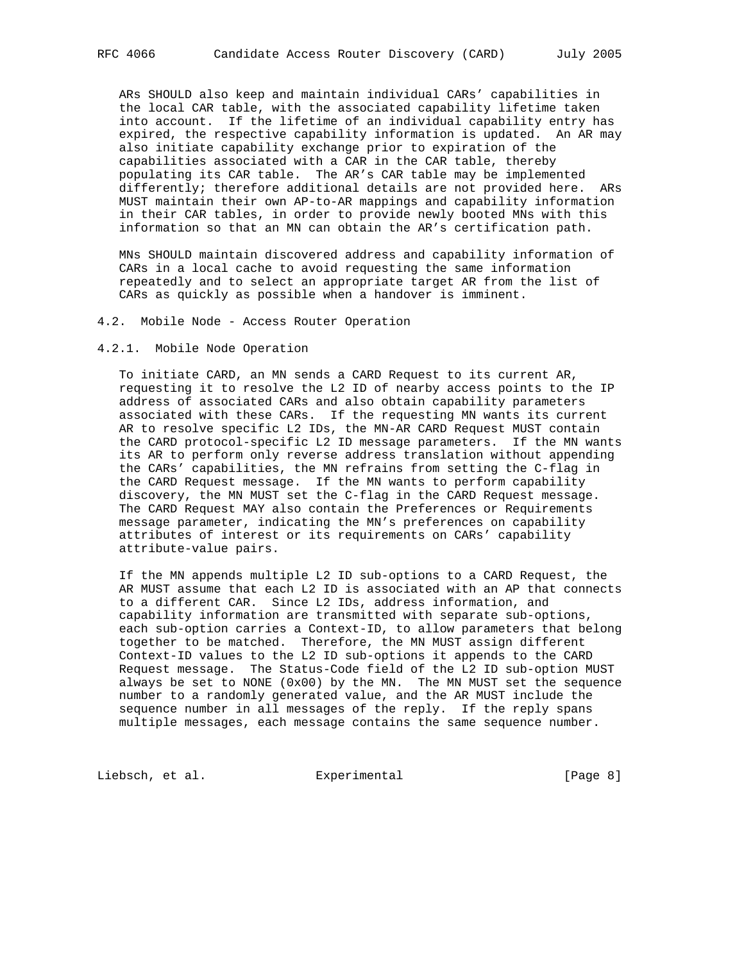ARs SHOULD also keep and maintain individual CARs' capabilities in the local CAR table, with the associated capability lifetime taken into account. If the lifetime of an individual capability entry has expired, the respective capability information is updated. An AR may also initiate capability exchange prior to expiration of the capabilities associated with a CAR in the CAR table, thereby populating its CAR table. The AR's CAR table may be implemented differently; therefore additional details are not provided here. ARs MUST maintain their own AP-to-AR mappings and capability information in their CAR tables, in order to provide newly booted MNs with this information so that an MN can obtain the AR's certification path.

 MNs SHOULD maintain discovered address and capability information of CARs in a local cache to avoid requesting the same information repeatedly and to select an appropriate target AR from the list of CARs as quickly as possible when a handover is imminent.

4.2. Mobile Node - Access Router Operation

4.2.1. Mobile Node Operation

 To initiate CARD, an MN sends a CARD Request to its current AR, requesting it to resolve the L2 ID of nearby access points to the IP address of associated CARs and also obtain capability parameters associated with these CARs. If the requesting MN wants its current AR to resolve specific L2 IDs, the MN-AR CARD Request MUST contain the CARD protocol-specific L2 ID message parameters. If the MN wants its AR to perform only reverse address translation without appending the CARs' capabilities, the MN refrains from setting the C-flag in the CARD Request message. If the MN wants to perform capability discovery, the MN MUST set the C-flag in the CARD Request message. The CARD Request MAY also contain the Preferences or Requirements message parameter, indicating the MN's preferences on capability attributes of interest or its requirements on CARs' capability attribute-value pairs.

 If the MN appends multiple L2 ID sub-options to a CARD Request, the AR MUST assume that each L2 ID is associated with an AP that connects to a different CAR. Since L2 IDs, address information, and capability information are transmitted with separate sub-options, each sub-option carries a Context-ID, to allow parameters that belong together to be matched. Therefore, the MN MUST assign different Context-ID values to the L2 ID sub-options it appends to the CARD Request message. The Status-Code field of the L2 ID sub-option MUST always be set to NONE  $(0x00)$  by the MN. The MN MUST set the sequence number to a randomly generated value, and the AR MUST include the sequence number in all messages of the reply. If the reply spans multiple messages, each message contains the same sequence number.

Liebsch, et al. Experimental [Page 8]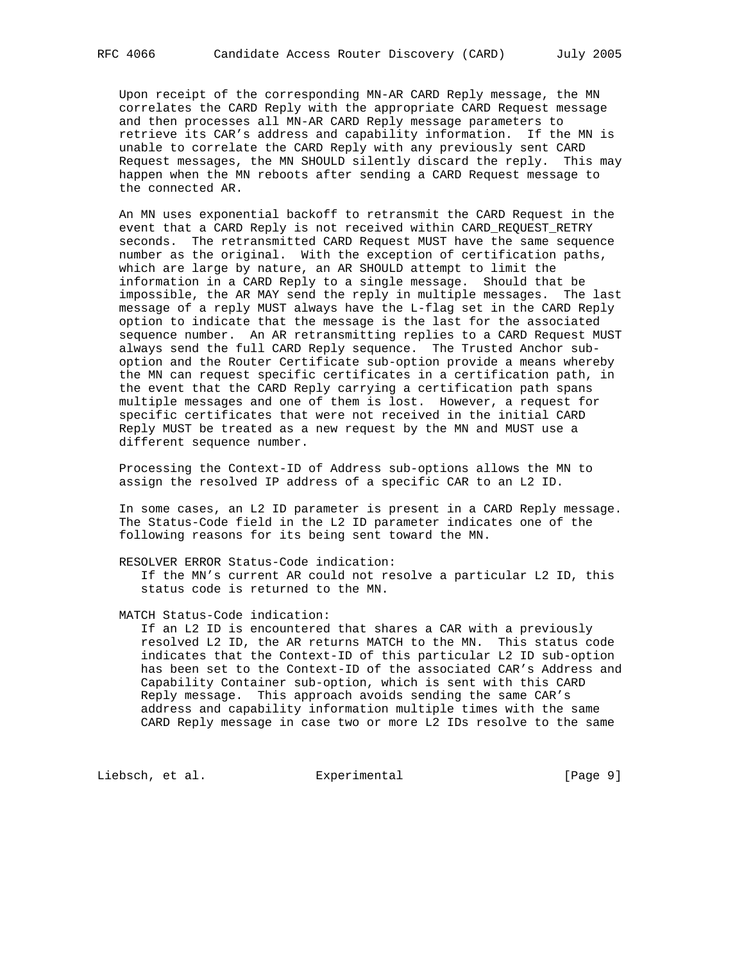Upon receipt of the corresponding MN-AR CARD Reply message, the MN correlates the CARD Reply with the appropriate CARD Request message and then processes all MN-AR CARD Reply message parameters to retrieve its CAR's address and capability information. If the MN is unable to correlate the CARD Reply with any previously sent CARD Request messages, the MN SHOULD silently discard the reply. This may happen when the MN reboots after sending a CARD Request message to the connected AR.

 An MN uses exponential backoff to retransmit the CARD Request in the event that a CARD Reply is not received within CARD\_REQUEST\_RETRY seconds. The retransmitted CARD Request MUST have the same sequence number as the original. With the exception of certification paths, which are large by nature, an AR SHOULD attempt to limit the information in a CARD Reply to a single message. Should that be impossible, the AR MAY send the reply in multiple messages. The last message of a reply MUST always have the L-flag set in the CARD Reply option to indicate that the message is the last for the associated sequence number. An AR retransmitting replies to a CARD Request MUST always send the full CARD Reply sequence. The Trusted Anchor sub option and the Router Certificate sub-option provide a means whereby the MN can request specific certificates in a certification path, in the event that the CARD Reply carrying a certification path spans multiple messages and one of them is lost. However, a request for specific certificates that were not received in the initial CARD Reply MUST be treated as a new request by the MN and MUST use a different sequence number.

 Processing the Context-ID of Address sub-options allows the MN to assign the resolved IP address of a specific CAR to an L2 ID.

 In some cases, an L2 ID parameter is present in a CARD Reply message. The Status-Code field in the L2 ID parameter indicates one of the following reasons for its being sent toward the MN.

RESOLVER ERROR Status-Code indication:

 If the MN's current AR could not resolve a particular L2 ID, this status code is returned to the MN.

#### MATCH Status-Code indication:

 If an L2 ID is encountered that shares a CAR with a previously resolved L2 ID, the AR returns MATCH to the MN. This status code indicates that the Context-ID of this particular L2 ID sub-option has been set to the Context-ID of the associated CAR's Address and Capability Container sub-option, which is sent with this CARD Reply message. This approach avoids sending the same CAR's address and capability information multiple times with the same CARD Reply message in case two or more L2 IDs resolve to the same

Liebsch, et al. Experimental [Page 9]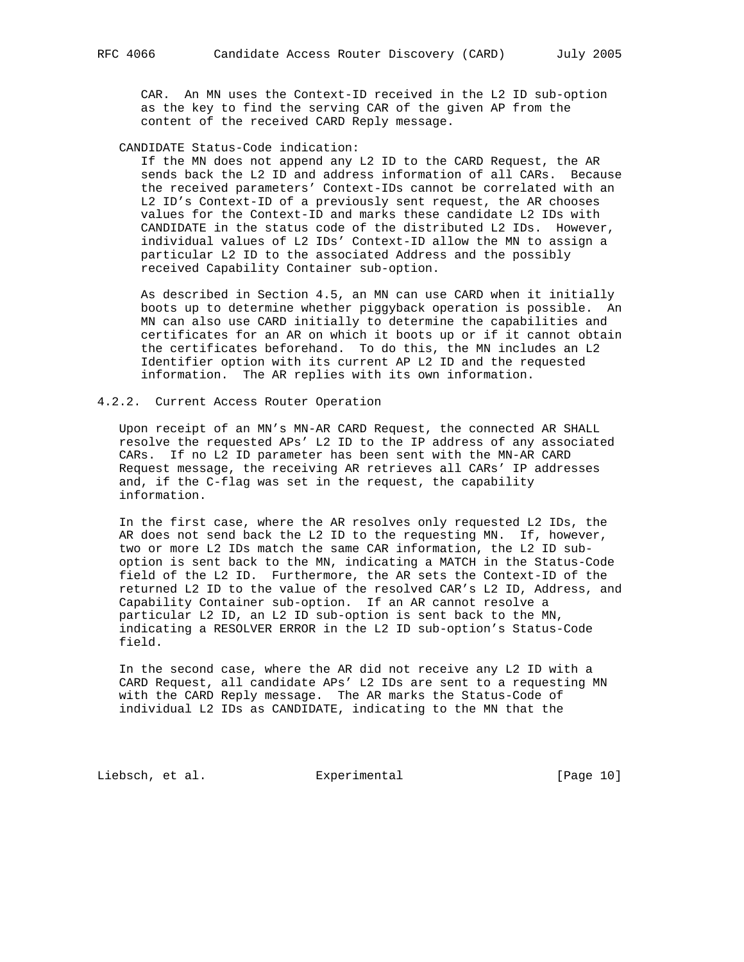CAR. An MN uses the Context-ID received in the L2 ID sub-option as the key to find the serving CAR of the given AP from the content of the received CARD Reply message.

#### CANDIDATE Status-Code indication:

 If the MN does not append any L2 ID to the CARD Request, the AR sends back the L2 ID and address information of all CARs. Because the received parameters' Context-IDs cannot be correlated with an L2 ID's Context-ID of a previously sent request, the AR chooses values for the Context-ID and marks these candidate L2 IDs with CANDIDATE in the status code of the distributed L2 IDs. However, individual values of L2 IDs' Context-ID allow the MN to assign a particular L2 ID to the associated Address and the possibly received Capability Container sub-option.

 As described in Section 4.5, an MN can use CARD when it initially boots up to determine whether piggyback operation is possible. An MN can also use CARD initially to determine the capabilities and certificates for an AR on which it boots up or if it cannot obtain the certificates beforehand. To do this, the MN includes an L2 Identifier option with its current AP L2 ID and the requested information. The AR replies with its own information.

### 4.2.2. Current Access Router Operation

 Upon receipt of an MN's MN-AR CARD Request, the connected AR SHALL resolve the requested APs' L2 ID to the IP address of any associated CARs. If no L2 ID parameter has been sent with the MN-AR CARD Request message, the receiving AR retrieves all CARs' IP addresses and, if the C-flag was set in the request, the capability information.

 In the first case, where the AR resolves only requested L2 IDs, the AR does not send back the L2 ID to the requesting MN. If, however, two or more L2 IDs match the same CAR information, the L2 ID sub option is sent back to the MN, indicating a MATCH in the Status-Code field of the L2 ID. Furthermore, the AR sets the Context-ID of the returned L2 ID to the value of the resolved CAR's L2 ID, Address, and Capability Container sub-option. If an AR cannot resolve a particular L2 ID, an L2 ID sub-option is sent back to the MN, indicating a RESOLVER ERROR in the L2 ID sub-option's Status-Code field.

 In the second case, where the AR did not receive any L2 ID with a CARD Request, all candidate APs' L2 IDs are sent to a requesting MN with the CARD Reply message. The AR marks the Status-Code of individual L2 IDs as CANDIDATE, indicating to the MN that the

Liebsch, et al. Experimental [Page 10]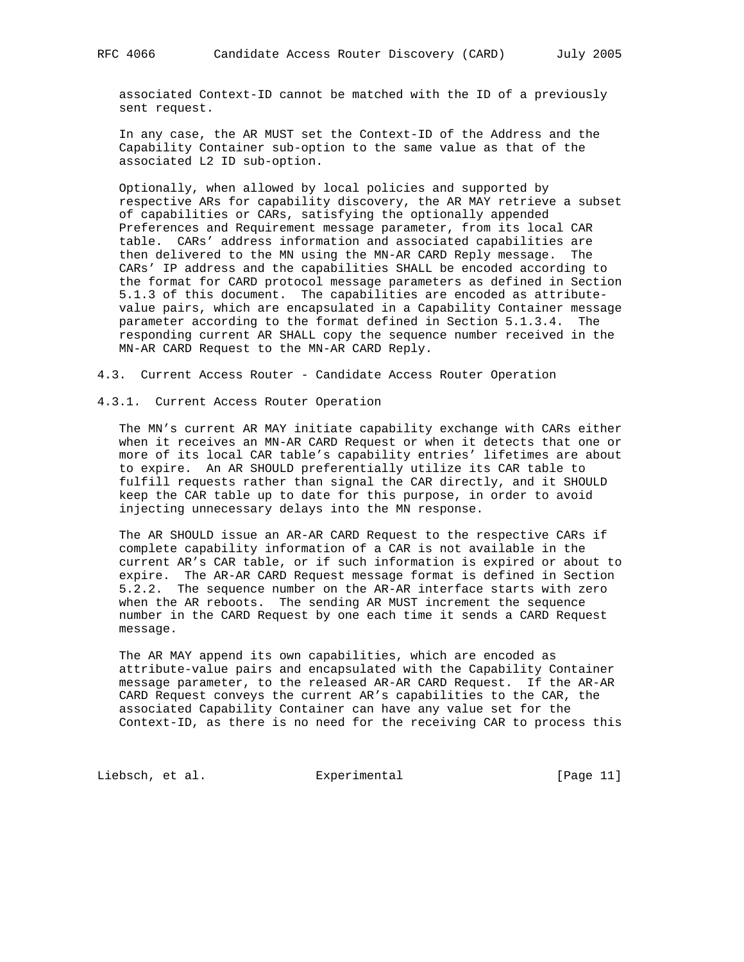associated Context-ID cannot be matched with the ID of a previously sent request.

 In any case, the AR MUST set the Context-ID of the Address and the Capability Container sub-option to the same value as that of the associated L2 ID sub-option.

 Optionally, when allowed by local policies and supported by respective ARs for capability discovery, the AR MAY retrieve a subset of capabilities or CARs, satisfying the optionally appended Preferences and Requirement message parameter, from its local CAR table. CARs' address information and associated capabilities are then delivered to the MN using the MN-AR CARD Reply message. The CARs' IP address and the capabilities SHALL be encoded according to the format for CARD protocol message parameters as defined in Section 5.1.3 of this document. The capabilities are encoded as attribute value pairs, which are encapsulated in a Capability Container message parameter according to the format defined in Section 5.1.3.4. The responding current AR SHALL copy the sequence number received in the MN-AR CARD Request to the MN-AR CARD Reply.

4.3. Current Access Router - Candidate Access Router Operation

4.3.1. Current Access Router Operation

 The MN's current AR MAY initiate capability exchange with CARs either when it receives an MN-AR CARD Request or when it detects that one or more of its local CAR table's capability entries' lifetimes are about to expire. An AR SHOULD preferentially utilize its CAR table to fulfill requests rather than signal the CAR directly, and it SHOULD keep the CAR table up to date for this purpose, in order to avoid injecting unnecessary delays into the MN response.

 The AR SHOULD issue an AR-AR CARD Request to the respective CARs if complete capability information of a CAR is not available in the current AR's CAR table, or if such information is expired or about to expire. The AR-AR CARD Request message format is defined in Section 5.2.2. The sequence number on the AR-AR interface starts with zero when the AR reboots. The sending AR MUST increment the sequence number in the CARD Request by one each time it sends a CARD Request message.

 The AR MAY append its own capabilities, which are encoded as attribute-value pairs and encapsulated with the Capability Container message parameter, to the released AR-AR CARD Request. If the AR-AR CARD Request conveys the current AR's capabilities to the CAR, the associated Capability Container can have any value set for the Context-ID, as there is no need for the receiving CAR to process this

Liebsch, et al. Experimental [Page 11]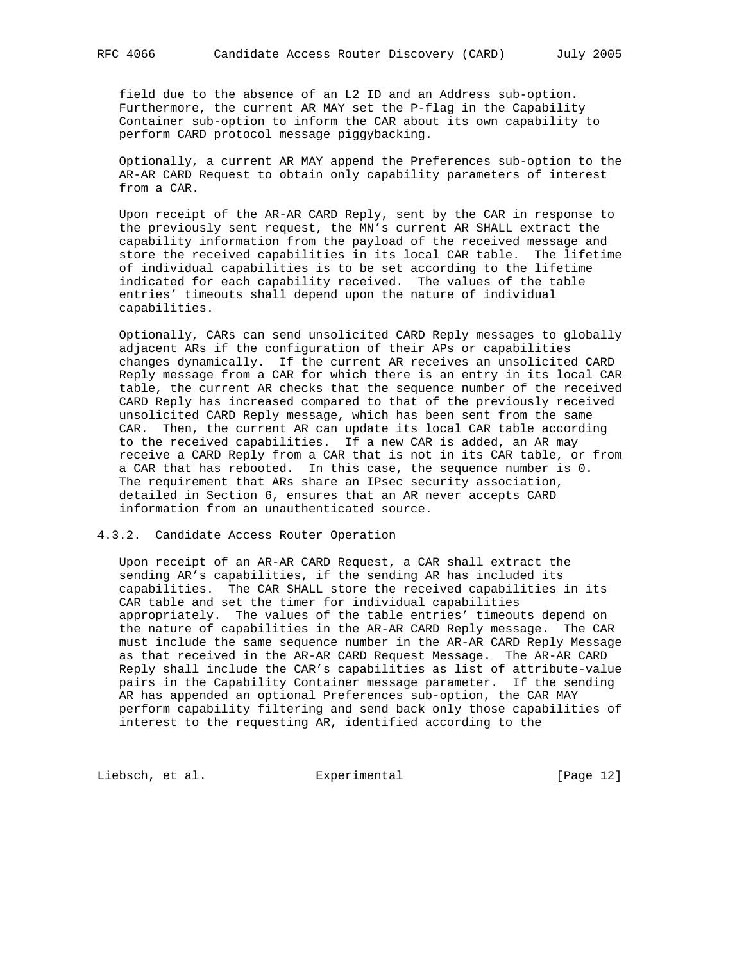field due to the absence of an L2 ID and an Address sub-option. Furthermore, the current AR MAY set the P-flag in the Capability Container sub-option to inform the CAR about its own capability to perform CARD protocol message piggybacking.

 Optionally, a current AR MAY append the Preferences sub-option to the AR-AR CARD Request to obtain only capability parameters of interest from a CAR.

 Upon receipt of the AR-AR CARD Reply, sent by the CAR in response to the previously sent request, the MN's current AR SHALL extract the capability information from the payload of the received message and store the received capabilities in its local CAR table. The lifetime of individual capabilities is to be set according to the lifetime indicated for each capability received. The values of the table entries' timeouts shall depend upon the nature of individual capabilities.

 Optionally, CARs can send unsolicited CARD Reply messages to globally adjacent ARs if the configuration of their APs or capabilities changes dynamically. If the current AR receives an unsolicited CARD Reply message from a CAR for which there is an entry in its local CAR table, the current AR checks that the sequence number of the received CARD Reply has increased compared to that of the previously received unsolicited CARD Reply message, which has been sent from the same CAR. Then, the current AR can update its local CAR table according to the received capabilities. If a new CAR is added, an AR may receive a CARD Reply from a CAR that is not in its CAR table, or from a CAR that has rebooted. In this case, the sequence number is 0. The requirement that ARs share an IPsec security association, detailed in Section 6, ensures that an AR never accepts CARD information from an unauthenticated source.

### 4.3.2. Candidate Access Router Operation

 Upon receipt of an AR-AR CARD Request, a CAR shall extract the sending AR's capabilities, if the sending AR has included its capabilities. The CAR SHALL store the received capabilities in its CAR table and set the timer for individual capabilities appropriately. The values of the table entries' timeouts depend on the nature of capabilities in the AR-AR CARD Reply message. The CAR must include the same sequence number in the AR-AR CARD Reply Message as that received in the AR-AR CARD Request Message. The AR-AR CARD Reply shall include the CAR's capabilities as list of attribute-value pairs in the Capability Container message parameter. If the sending AR has appended an optional Preferences sub-option, the CAR MAY perform capability filtering and send back only those capabilities of interest to the requesting AR, identified according to the

Liebsch, et al. Experimental [Page 12]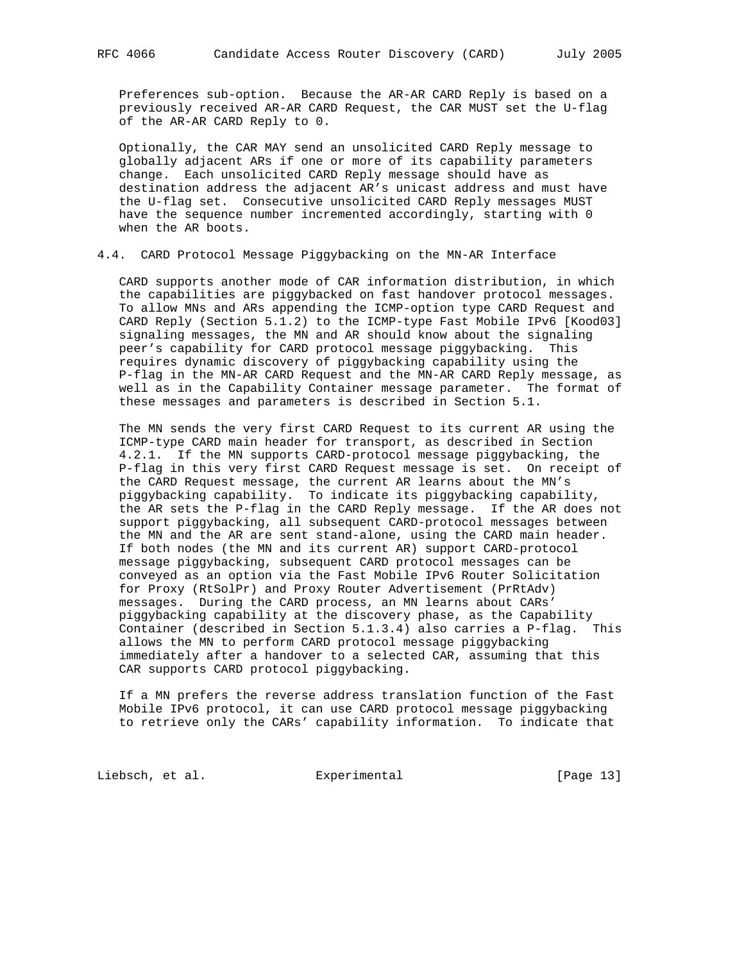Preferences sub-option. Because the AR-AR CARD Reply is based on a previously received AR-AR CARD Request, the CAR MUST set the U-flag of the AR-AR CARD Reply to 0.

 Optionally, the CAR MAY send an unsolicited CARD Reply message to globally adjacent ARs if one or more of its capability parameters change. Each unsolicited CARD Reply message should have as destination address the adjacent AR's unicast address and must have the U-flag set. Consecutive unsolicited CARD Reply messages MUST have the sequence number incremented accordingly, starting with 0 when the AR boots.

# 4.4. CARD Protocol Message Piggybacking on the MN-AR Interface

 CARD supports another mode of CAR information distribution, in which the capabilities are piggybacked on fast handover protocol messages. To allow MNs and ARs appending the ICMP-option type CARD Request and CARD Reply (Section 5.1.2) to the ICMP-type Fast Mobile IPv6 [Kood03] signaling messages, the MN and AR should know about the signaling peer's capability for CARD protocol message piggybacking. This requires dynamic discovery of piggybacking capability using the P-flag in the MN-AR CARD Request and the MN-AR CARD Reply message, as well as in the Capability Container message parameter. The format of these messages and parameters is described in Section 5.1.

 The MN sends the very first CARD Request to its current AR using the ICMP-type CARD main header for transport, as described in Section 4.2.1. If the MN supports CARD-protocol message piggybacking, the P-flag in this very first CARD Request message is set. On receipt of the CARD Request message, the current AR learns about the MN's piggybacking capability. To indicate its piggybacking capability, the AR sets the P-flag in the CARD Reply message. If the AR does not support piggybacking, all subsequent CARD-protocol messages between the MN and the AR are sent stand-alone, using the CARD main header. If both nodes (the MN and its current AR) support CARD-protocol message piggybacking, subsequent CARD protocol messages can be conveyed as an option via the Fast Mobile IPv6 Router Solicitation for Proxy (RtSolPr) and Proxy Router Advertisement (PrRtAdv) messages. During the CARD process, an MN learns about CARs' piggybacking capability at the discovery phase, as the Capability Container (described in Section 5.1.3.4) also carries a P-flag. This allows the MN to perform CARD protocol message piggybacking immediately after a handover to a selected CAR, assuming that this CAR supports CARD protocol piggybacking.

 If a MN prefers the reverse address translation function of the Fast Mobile IPv6 protocol, it can use CARD protocol message piggybacking to retrieve only the CARs' capability information. To indicate that

Liebsch, et al. Experimental [Page 13]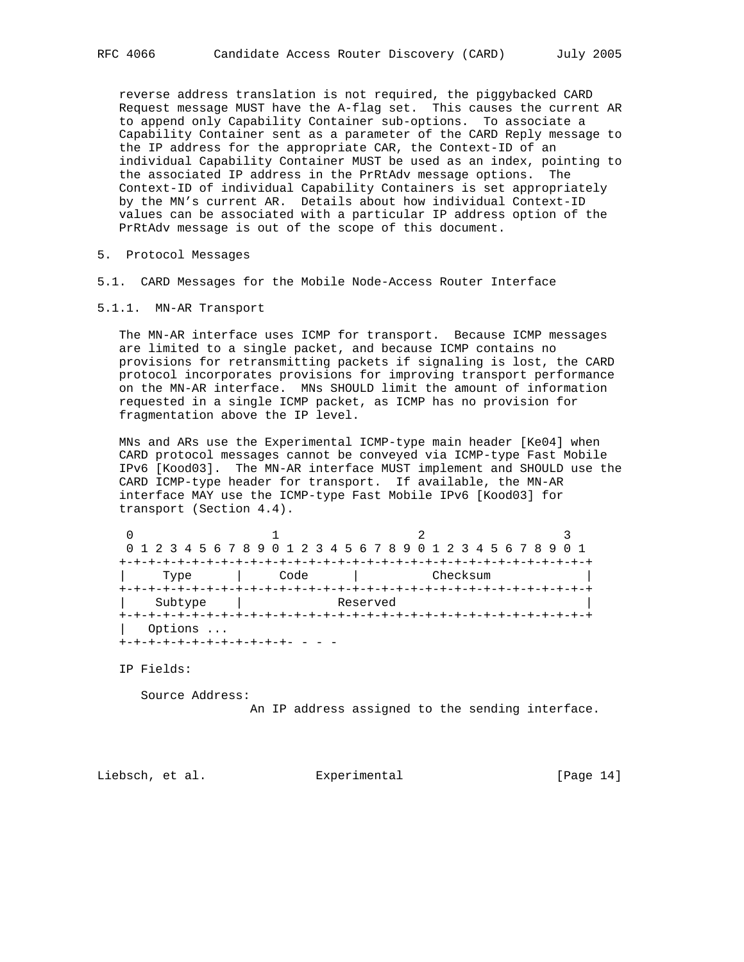reverse address translation is not required, the piggybacked CARD Request message MUST have the A-flag set. This causes the current AR to append only Capability Container sub-options. To associate a Capability Container sent as a parameter of the CARD Reply message to the IP address for the appropriate CAR, the Context-ID of an individual Capability Container MUST be used as an index, pointing to the associated IP address in the PrRtAdv message options. The Context-ID of individual Capability Containers is set appropriately by the MN's current AR. Details about how individual Context-ID values can be associated with a particular IP address option of the PrRtAdv message is out of the scope of this document.

- 5. Protocol Messages
- 5.1. CARD Messages for the Mobile Node-Access Router Interface
- 5.1.1. MN-AR Transport

 The MN-AR interface uses ICMP for transport. Because ICMP messages are limited to a single packet, and because ICMP contains no provisions for retransmitting packets if signaling is lost, the CARD protocol incorporates provisions for improving transport performance on the MN-AR interface. MNs SHOULD limit the amount of information requested in a single ICMP packet, as ICMP has no provision for fragmentation above the IP level.

 MNs and ARs use the Experimental ICMP-type main header [Ke04] when CARD protocol messages cannot be conveyed via ICMP-type Fast Mobile IPv6 [Kood03]. The MN-AR interface MUST implement and SHOULD use the CARD ICMP-type header for transport. If available, the MN-AR interface MAY use the ICMP-type Fast Mobile IPv6 [Kood03] for transport (Section 4.4).

|         |          | 0 1 2 3 4 5 6 7 8 9 0 1 2 3 4 5 6 7 8 9 0 1 2 3 4 5 6 7 8 9 0 1 |  |  |  |  |  |  |  |  |
|---------|----------|-----------------------------------------------------------------|--|--|--|--|--|--|--|--|
|         |          | -+-+-+-+-+-+-+-+-+-+-+-+-+-+-+-+-+-+-+                          |  |  |  |  |  |  |  |  |
| Type    | Code     | Checksum                                                        |  |  |  |  |  |  |  |  |
|         |          |                                                                 |  |  |  |  |  |  |  |  |
| Subtype | Reserved |                                                                 |  |  |  |  |  |  |  |  |
|         |          |                                                                 |  |  |  |  |  |  |  |  |
| Options |          |                                                                 |  |  |  |  |  |  |  |  |
|         |          |                                                                 |  |  |  |  |  |  |  |  |

IP Fields:

Source Address:

An IP address assigned to the sending interface.

Liebsch, et al. Experimental [Page 14]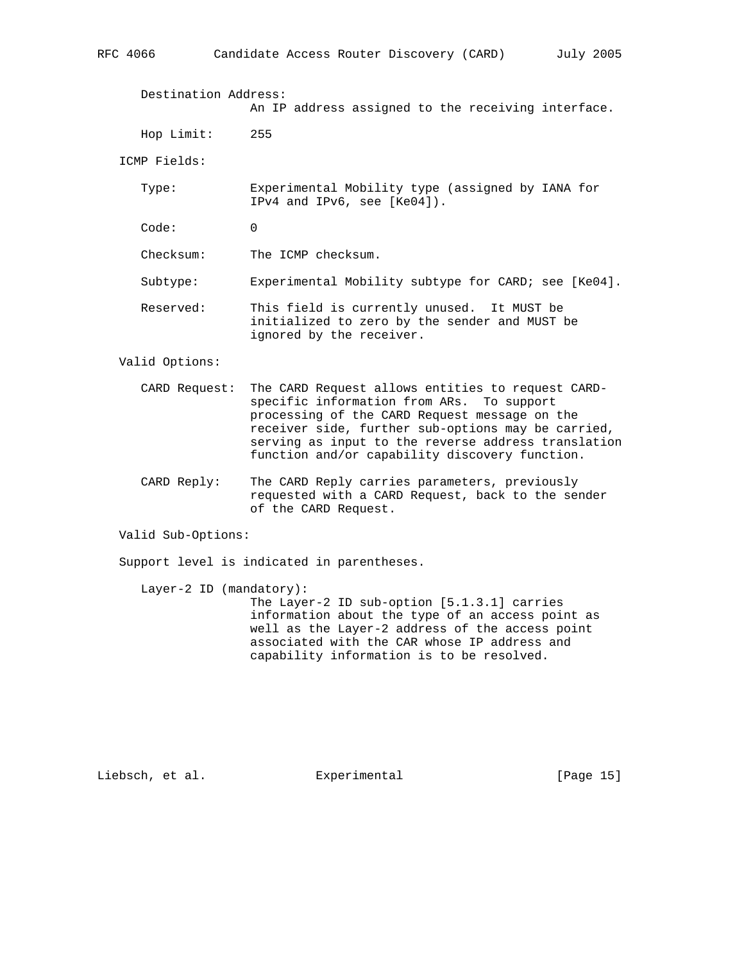Destination Address: An IP address assigned to the receiving interface. Hop Limit: 255 ICMP Fields: Type: Experimental Mobility type (assigned by IANA for IPv4 and IPv6, see [Ke04]). Code: 0 Checksum: The ICMP checksum. Subtype: Experimental Mobility subtype for CARD; see [Ke04]. Reserved: This field is currently unused. It MUST be initialized to zero by the sender and MUST be

ignored by the receiver.

Valid Options:

- CARD Request: The CARD Request allows entities to request CARD specific information from ARs. To support processing of the CARD Request message on the receiver side, further sub-options may be carried, serving as input to the reverse address translation function and/or capability discovery function.
- CARD Reply: The CARD Reply carries parameters, previously requested with a CARD Request, back to the sender of the CARD Request.

Valid Sub-Options:

Support level is indicated in parentheses.

 Layer-2 ID (mandatory): The Layer-2 ID sub-option [5.1.3.1] carries information about the type of an access point as well as the Layer-2 address of the access point associated with the CAR whose IP address and capability information is to be resolved.

Liebsch, et al. Experimental [Page 15]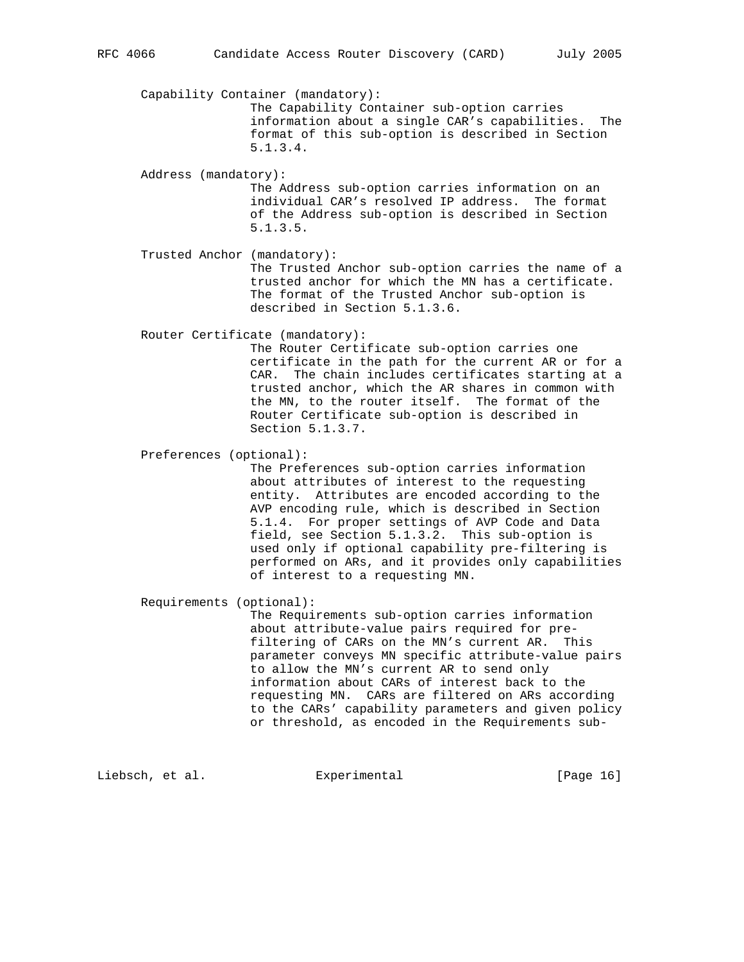Capability Container (mandatory): The Capability Container sub-option carries information about a single CAR's capabilities. The format of this sub-option is described in Section 5.1.3.4. Address (mandatory): The Address sub-option carries information on an individual CAR's resolved IP address. The format of the Address sub-option is described in Section 5.1.3.5.

 Trusted Anchor (mandatory): The Trusted Anchor sub-option carries the name of a trusted anchor for which the MN has a certificate. The format of the Trusted Anchor sub-option is described in Section 5.1.3.6.

Router Certificate (mandatory):

 The Router Certificate sub-option carries one certificate in the path for the current AR or for a CAR. The chain includes certificates starting at a trusted anchor, which the AR shares in common with the MN, to the router itself. The format of the Router Certificate sub-option is described in Section 5.1.3.7.

Preferences (optional):

 The Preferences sub-option carries information about attributes of interest to the requesting entity. Attributes are encoded according to the AVP encoding rule, which is described in Section 5.1.4. For proper settings of AVP Code and Data field, see Section 5.1.3.2. This sub-option is used only if optional capability pre-filtering is performed on ARs, and it provides only capabilities of interest to a requesting MN.

Requirements (optional):

 The Requirements sub-option carries information about attribute-value pairs required for pre filtering of CARs on the MN's current AR. This parameter conveys MN specific attribute-value pairs to allow the MN's current AR to send only information about CARs of interest back to the requesting MN. CARs are filtered on ARs according to the CARs' capability parameters and given policy or threshold, as encoded in the Requirements sub-

Liebsch, et al. Experimental [Page 16]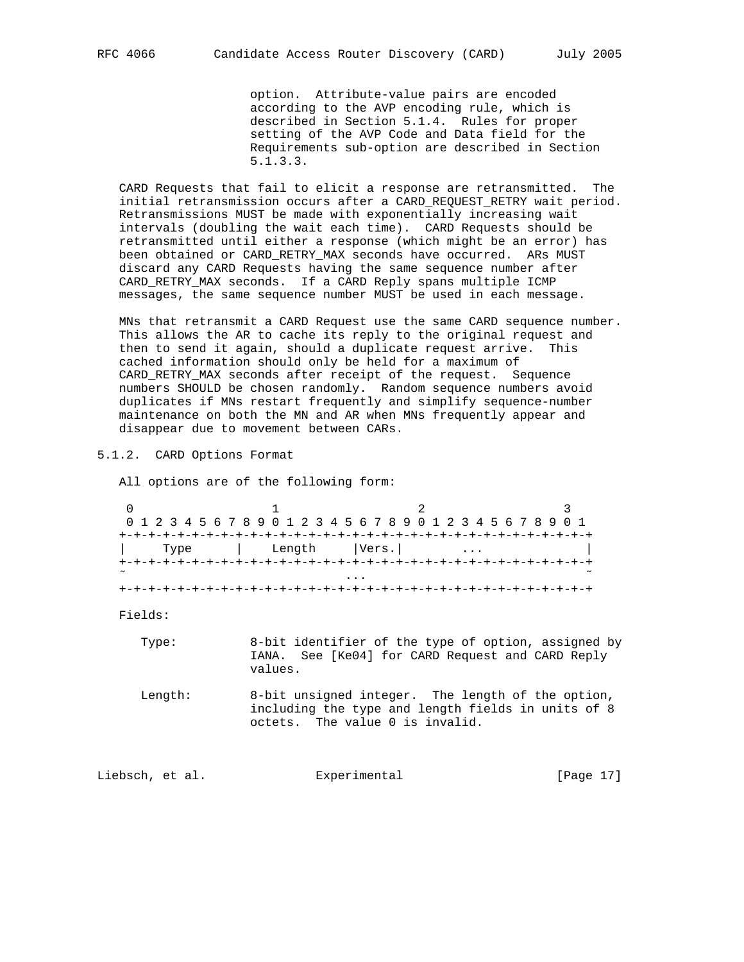option. Attribute-value pairs are encoded according to the AVP encoding rule, which is described in Section 5.1.4. Rules for proper setting of the AVP Code and Data field for the Requirements sub-option are described in Section 5.1.3.3.

 CARD Requests that fail to elicit a response are retransmitted. The initial retransmission occurs after a CARD\_REQUEST\_RETRY wait period. Retransmissions MUST be made with exponentially increasing wait intervals (doubling the wait each time). CARD Requests should be retransmitted until either a response (which might be an error) has been obtained or CARD\_RETRY\_MAX seconds have occurred. ARs MUST discard any CARD Requests having the same sequence number after CARD\_RETRY\_MAX seconds. If a CARD Reply spans multiple ICMP messages, the same sequence number MUST be used in each message.

 MNs that retransmit a CARD Request use the same CARD sequence number. This allows the AR to cache its reply to the original request and then to send it again, should a duplicate request arrive. This cached information should only be held for a maximum of CARD\_RETRY\_MAX seconds after receipt of the request. Sequence numbers SHOULD be chosen randomly. Random sequence numbers avoid duplicates if MNs restart frequently and simplify sequence-number maintenance on both the MN and AR when MNs frequently appear and disappear due to movement between CARs.

5.1.2. CARD Options Format

All options are of the following form:

|        | 0 1 2 3 4 5 6 7 8 9 0 1 2 3 4 5 6 7 8 9 0 1 2 3 4 5 6 7 8 9 0 1 |  |  |  |  |        |  |  |  |  |  |       |  |  |  |  |  |  |  |  |
|--------|-----------------------------------------------------------------|--|--|--|--|--------|--|--|--|--|--|-------|--|--|--|--|--|--|--|--|
|        |                                                                 |  |  |  |  |        |  |  |  |  |  |       |  |  |  |  |  |  |  |  |
|        | Type                                                            |  |  |  |  | Length |  |  |  |  |  | Vers. |  |  |  |  |  |  |  |  |
|        |                                                                 |  |  |  |  |        |  |  |  |  |  |       |  |  |  |  |  |  |  |  |
| $\sim$ |                                                                 |  |  |  |  |        |  |  |  |  |  |       |  |  |  |  |  |  |  |  |
|        |                                                                 |  |  |  |  |        |  |  |  |  |  |       |  |  |  |  |  |  |  |  |

Fields:

- Type: 8-bit identifier of the type of option, assigned by IANA. See [Ke04] for CARD Request and CARD Reply values.
- Length: 8-bit unsigned integer. The length of the option, including the type and length fields in units of 8 octets. The value 0 is invalid.

Liebsch, et al. Experimental [Page 17]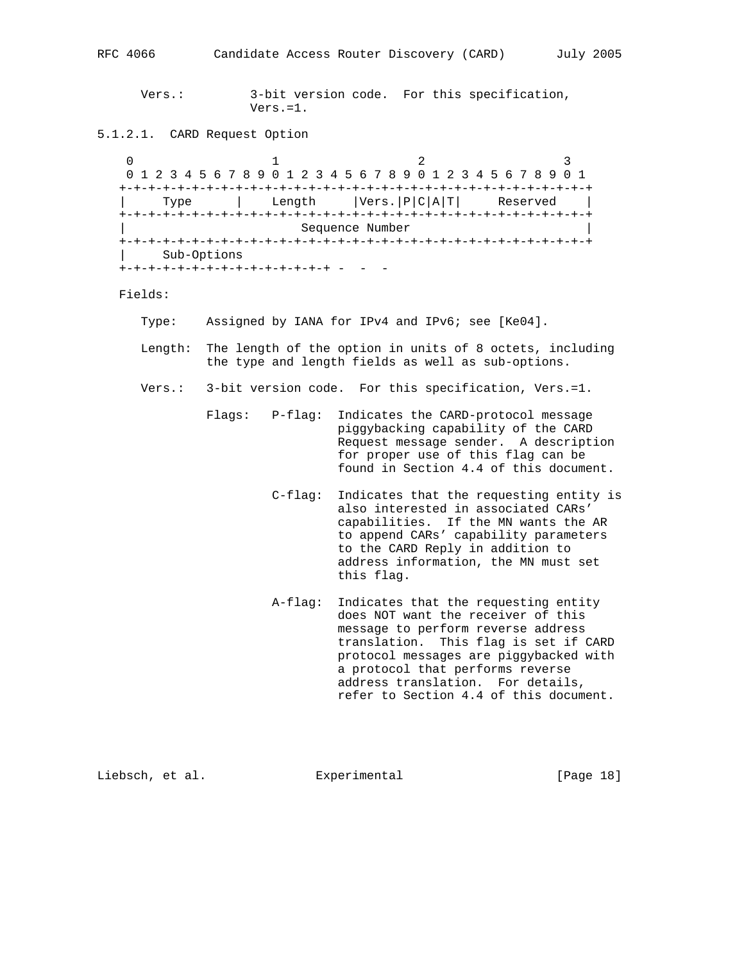Vers.: 3-bit version code. For this specification, Vers.=1.

5.1.2.1. CARD Request Option

0  $1$  2 3 0 1 2 3 4 5 6 7 8 9 0 1 2 3 4 5 6 7 8 9 0 1 2 3 4 5 6 7 8 9 0 1 +-+-+-+-+-+-+-+-+-+-+-+-+-+-+-+-+-+-+-+-+-+-+-+-+-+-+-+-+-+-+-+-+ | Type | Length |Vers.|P|C|A|T| Reserved | +-+-+-+-+-+-+-+-+-+-+-+-+-+-+-+-+-+-+-+-+-+-+-+-+-+-+-+-+-+-+-+-+ | Sequence Number | +-+-+-+-+-+-+-+-+-+-+-+-+-+-+-+-+-+-+-+-+-+-+-+-+-+-+-+-+-+-+-+-+ | Sub-Options +-+-+-+-+-+-+-+-+-+-+-+-+-+-+ - - -

Fields:

- Type: Assigned by IANA for IPv4 and IPv6; see [Ke04].
- Length: The length of the option in units of 8 octets, including the type and length fields as well as sub-options.
- Vers.: 3-bit version code. For this specification, Vers.=1.
	- Flags: P-flag: Indicates the CARD-protocol message piggybacking capability of the CARD Request message sender. A description for proper use of this flag can be found in Section 4.4 of this document.
		- C-flag: Indicates that the requesting entity is also interested in associated CARs' capabilities. If the MN wants the AR to append CARs' capability parameters to the CARD Reply in addition to address information, the MN must set this flag.
		- A-flag: Indicates that the requesting entity does NOT want the receiver of this message to perform reverse address translation. This flag is set if CARD protocol messages are piggybacked with a protocol that performs reverse address translation. For details, refer to Section 4.4 of this document.

Liebsch, et al. **Experimental** [Page 18]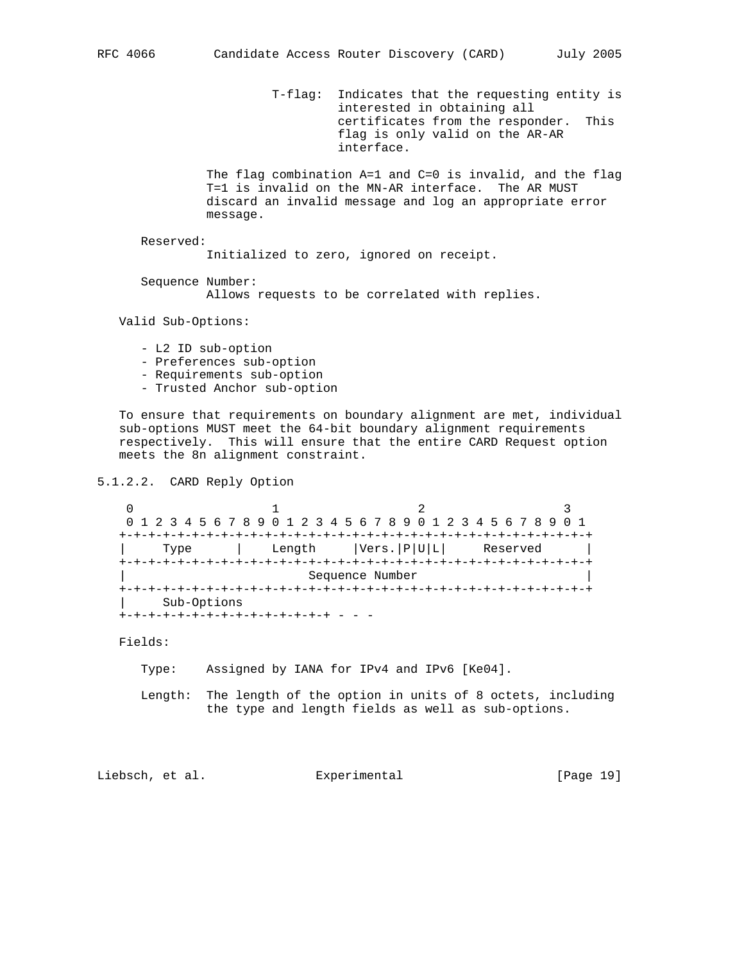T-flag: Indicates that the requesting entity is interested in obtaining all certificates from the responder. This flag is only valid on the AR-AR interface.

 The flag combination A=1 and C=0 is invalid, and the flag T=1 is invalid on the MN-AR interface. The AR MUST discard an invalid message and log an appropriate error message.

Reserved:

Initialized to zero, ignored on receipt.

 Sequence Number: Allows requests to be correlated with replies.

Valid Sub-Options:

- L2 ID sub-option
- Preferences sub-option
- Requirements sub-option
- Trusted Anchor sub-option

 To ensure that requirements on boundary alignment are met, individual sub-options MUST meet the 64-bit boundary alignment requirements respectively. This will ensure that the entire CARD Request option meets the 8n alignment constraint.

5.1.2.2. CARD Reply Option

0  $1$  2 3 0 1 2 3 4 5 6 7 8 9 0 1 2 3 4 5 6 7 8 9 0 1 2 3 4 5 6 7 8 9 0 1 +-+-+-+-+-+-+-+-+-+-+-+-+-+-+-+-+-+-+-+-+-+-+-+-+-+-+-+-+-+-+-+-+ | Type | Length |Vers.|P|U|L| Reserved | +-+-+-+-+-+-+-+-+-+-+-+-+-+-+-+-+-+-+-+-+-+-+-+-+-+-+-+-+-+-+-+-+ | Sequence Number | +-+-+-+-+-+-+-+-+-+-+-+-+-+-+-+-+-+-+-+-+-+-+-+-+-+-+-+-+-+-+-+-+ | Sub-Options +-+-+-+-+-+-+-+-+-+-+-+-+-+-+ - - -

Fields:

Type: Assigned by IANA for IPv4 and IPv6 [Ke04].

 Length: The length of the option in units of 8 octets, including the type and length fields as well as sub-options.

Liebsch, et al. Experimental [Page 19]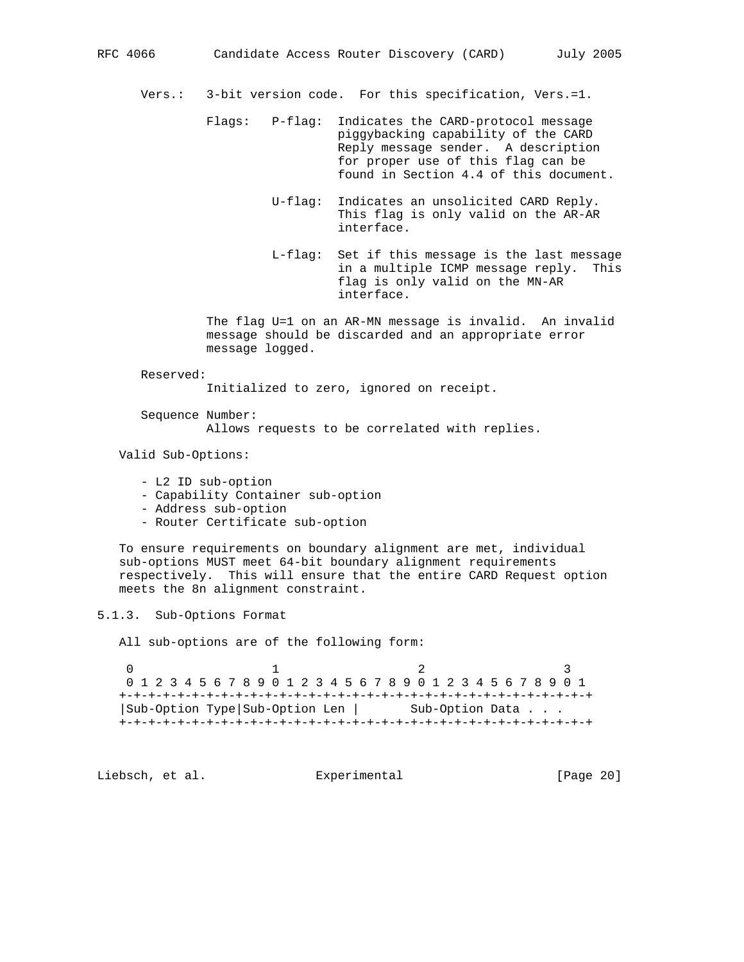Vers.: 3-bit version code. For this specification, Vers.=1.

- Flags: P-flag: Indicates the CARD-protocol message piggybacking capability of the CARD Reply message sender. A description for proper use of this flag can be found in Section 4.4 of this document.
	- U-flag: Indicates an unsolicited CARD Reply. This flag is only valid on the AR-AR interface.
	- L-flag: Set if this message is the last message in a multiple ICMP message reply. This flag is only valid on the MN-AR interface.

 The flag U=1 on an AR-MN message is invalid. An invalid message should be discarded and an appropriate error message logged.

Reserved:

Initialized to zero, ignored on receipt.

Sequence Number:

Allows requests to be correlated with replies.

Valid Sub-Options:

- L2 ID sub-option
- Capability Container sub-option
- Address sub-option
- Router Certificate sub-option

 To ensure requirements on boundary alignment are met, individual sub-options MUST meet 64-bit boundary alignment requirements respectively. This will ensure that the entire CARD Request option meets the 8n alignment constraint.

5.1.3. Sub-Options Format

All sub-options are of the following form:

0  $1$  2 3 0 1 2 3 4 5 6 7 8 9 0 1 2 3 4 5 6 7 8 9 0 1 2 3 4 5 6 7 8 9 0 1 +-+-+-+-+-+-+-+-+-+-+-+-+-+-+-+-+-+-+-+-+-+-+-+-+-+-+-+-+-+-+-+-+ |Sub-Option Type|Sub-Option Len | Sub-Option Data . . . +-+-+-+-+-+-+-+-+-+-+-+-+-+-+-+-+-+-+-+-+-+-+-+-+-+-+-+-+-+-+-+-+

Liebsch, et al. Experimental [Page 20]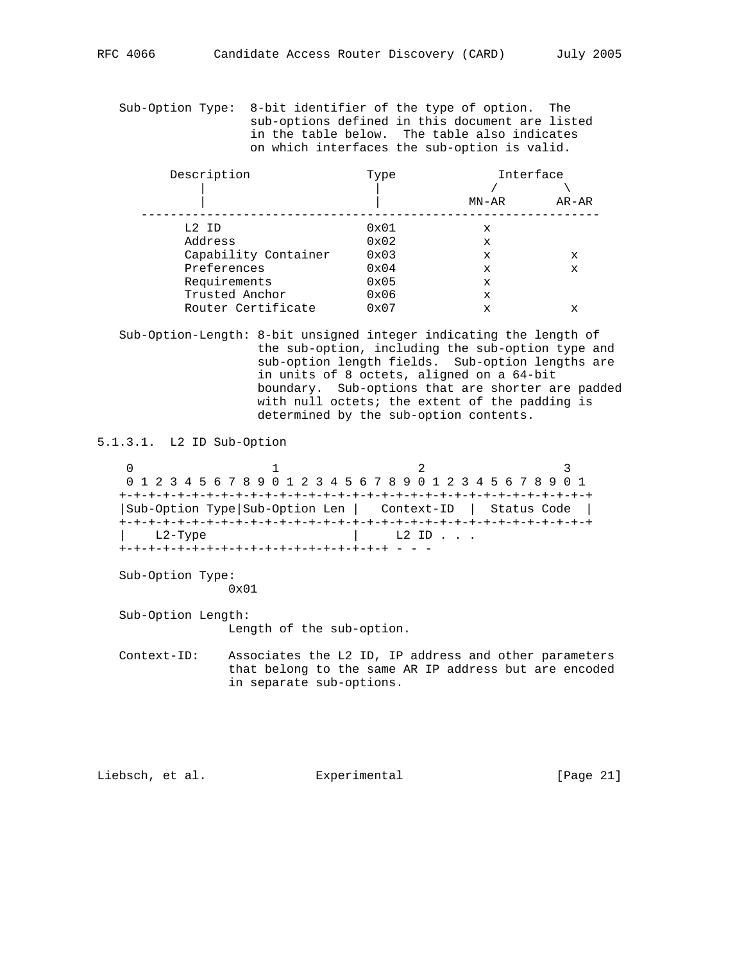Sub-Option Type: 8-bit identifier of the type of option. The sub-options defined in this document are listed in the table below. The table also indicates on which interfaces the sub-option is valid.

| Description          | Type |             | Interface |
|----------------------|------|-------------|-----------|
|                      |      |             |           |
|                      |      | MN-AR       | AR-AR     |
|                      |      |             |           |
| L2 ID                | 0x01 | х           |           |
| Address              | 0x02 | $\mathbf x$ |           |
| Capability Container | 0x03 | X           | x         |
| Preferences          | 0x04 | X           | x         |
| Requirements         | 0x05 | X           |           |
| Trusted Anchor       | 0x06 | X           |           |
| Router Certificate   | 0x07 | X           | x         |

 Sub-Option-Length: 8-bit unsigned integer indicating the length of the sub-option, including the sub-option type and sub-option length fields. Sub-option lengths are in units of 8 octets, aligned on a 64-bit boundary. Sub-options that are shorter are padded with null octets; the extent of the padding is determined by the sub-option contents.

5.1.3.1. L2 ID Sub-Option

0  $1$  2 3 0 1 2 3 4 5 6 7 8 9 0 1 2 3 4 5 6 7 8 9 0 1 2 3 4 5 6 7 8 9 0 1 +-+-+-+-+-+-+-+-+-+-+-+-+-+-+-+-+-+-+-+-+-+-+-+-+-+-+-+-+-+-+-+-+ |Sub-Option Type|Sub-Option Len | Context-ID | Status Code | +-+-+-+-+-+-+-+-+-+-+-+-+-+-+-+-+-+-+-+-+-+-+-+-+-+-+-+-+-+-+-+-+  $L2-Type$   $L2ID...$ +-+-+-+-+-+-+-+-+-+-+-+-+-+-+-+-+-+-+ - - -

Sub-Option Type:

0x01

Sub-Option Length:

Length of the sub-option.

 Context-ID: Associates the L2 ID, IP address and other parameters that belong to the same AR IP address but are encoded in separate sub-options.

Liebsch, et al. Experimental [Page 21]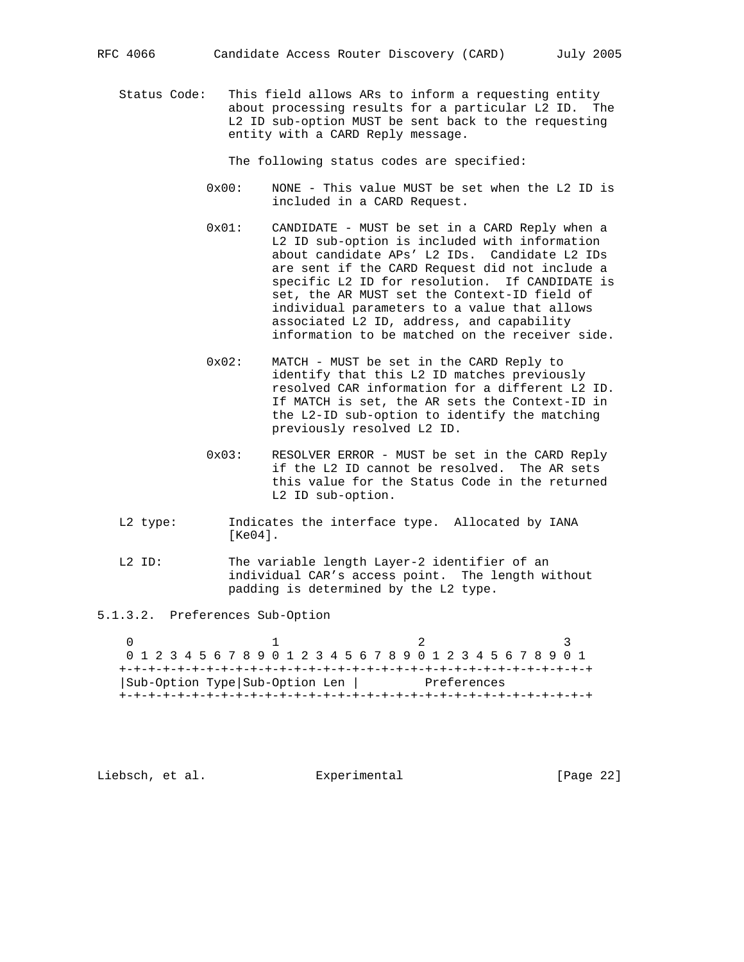Status Code: This field allows ARs to inform a requesting entity about processing results for a particular L2 ID. The L2 ID sub-option MUST be sent back to the requesting entity with a CARD Reply message.

The following status codes are specified:

- 0x00: NONE This value MUST be set when the L2 ID is included in a CARD Request.
- 0x01: CANDIDATE MUST be set in a CARD Reply when a L2 ID sub-option is included with information about candidate APs' L2 IDs. Candidate L2 IDs are sent if the CARD Request did not include a specific L2 ID for resolution. If CANDIDATE is set, the AR MUST set the Context-ID field of individual parameters to a value that allows associated L2 ID, address, and capability information to be matched on the receiver side.
- 0x02: MATCH MUST be set in the CARD Reply to identify that this L2 ID matches previously resolved CAR information for a different L2 ID. If MATCH is set, the AR sets the Context-ID in the L2-ID sub-option to identify the matching previously resolved L2 ID.
- 0x03: RESOLVER ERROR MUST be set in the CARD Reply if the L2 ID cannot be resolved. The AR sets this value for the Status Code in the returned L2 ID sub-option.
- L2 type: Indicates the interface type. Allocated by IANA [Ke04].
- L2 ID: The variable length Layer-2 identifier of an individual CAR's access point. The length without padding is determined by the L2 type.

5.1.3.2. Preferences Sub-Option

0  $1$  2 3 0 1 2 3 4 5 6 7 8 9 0 1 2 3 4 5 6 7 8 9 0 1 2 3 4 5 6 7 8 9 0 1 +-+-+-+-+-+-+-+-+-+-+-+-+-+-+-+-+-+-+-+-+-+-+-+-+-+-+-+-+-+-+-+-+ |Sub-Option Type|Sub-Option Len | Preferences +-+-+-+-+-+-+-+-+-+-+-+-+-+-+-+-+-+-+-+-+-+-+-+-+-+-+-+-+-+-+-+-+

Liebsch, et al. Experimental [Page 22]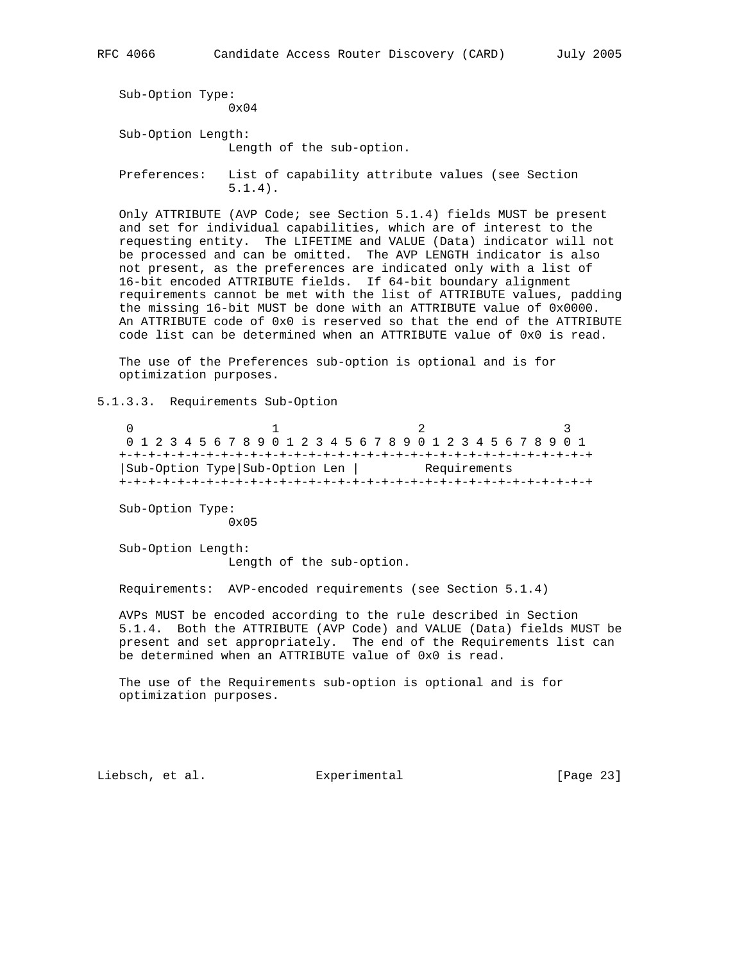```
 Sub-Option Type:
               0x04
Sub-Option Length:
               Length of the sub-option.
Preferences: List of capability attribute values (see Section
               5.1.4).
```
 Only ATTRIBUTE (AVP Code; see Section 5.1.4) fields MUST be present and set for individual capabilities, which are of interest to the requesting entity. The LIFETIME and VALUE (Data) indicator will not be processed and can be omitted. The AVP LENGTH indicator is also not present, as the preferences are indicated only with a list of 16-bit encoded ATTRIBUTE fields. If 64-bit boundary alignment requirements cannot be met with the list of ATTRIBUTE values, padding the missing 16-bit MUST be done with an ATTRIBUTE value of 0x0000. An ATTRIBUTE code of 0x0 is reserved so that the end of the ATTRIBUTE code list can be determined when an ATTRIBUTE value of 0x0 is read.

 The use of the Preferences sub-option is optional and is for optimization purposes.

5.1.3.3. Requirements Sub-Option

0  $1$  2 3 0 1 2 3 4 5 6 7 8 9 0 1 2 3 4 5 6 7 8 9 0 1 2 3 4 5 6 7 8 9 0 1 +-+-+-+-+-+-+-+-+-+-+-+-+-+-+-+-+-+-+-+-+-+-+-+-+-+-+-+-+-+-+-+-+ |Sub-Option Type|Sub-Option Len | Requirements +-+-+-+-+-+-+-+-+-+-+-+-+-+-+-+-+-+-+-+-+-+-+-+-+-+-+-+-+-+-+-+-+

 Sub-Option Type: 0x05

 Sub-Option Length: Length of the sub-option.

Requirements: AVP-encoded requirements (see Section 5.1.4)

 AVPs MUST be encoded according to the rule described in Section 5.1.4. Both the ATTRIBUTE (AVP Code) and VALUE (Data) fields MUST be present and set appropriately. The end of the Requirements list can be determined when an ATTRIBUTE value of 0x0 is read.

 The use of the Requirements sub-option is optional and is for optimization purposes.

Liebsch, et al. Experimental [Page 23]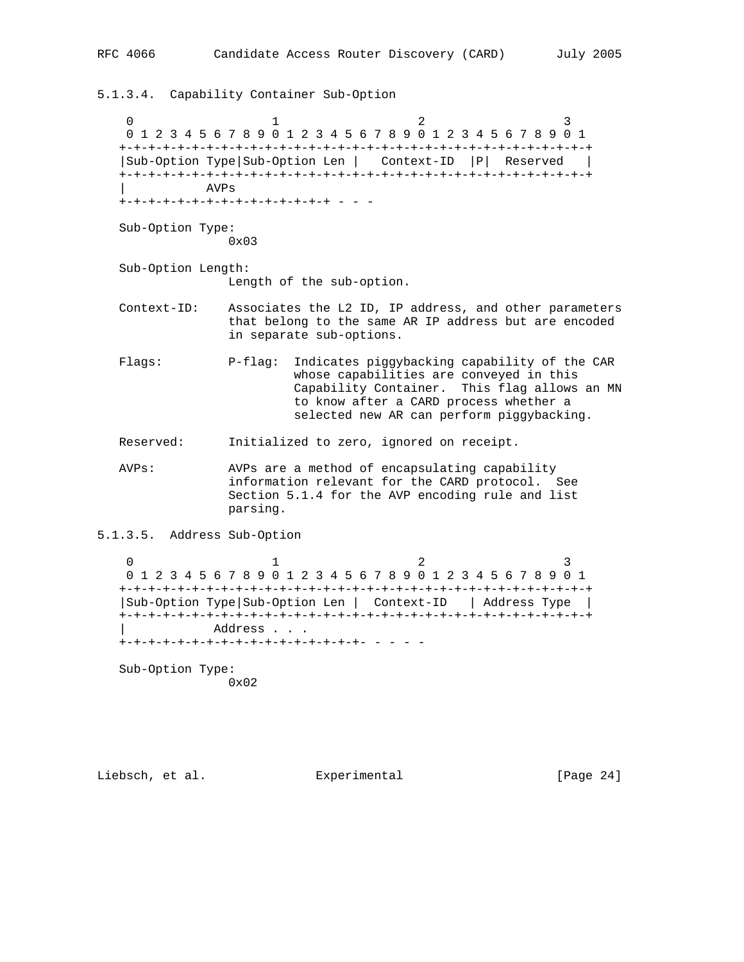5.1.3.4. Capability Container Sub-Option 0  $1$  2 3 0 1 2 3 4 5 6 7 8 9 0 1 2 3 4 5 6 7 8 9 0 1 2 3 4 5 6 7 8 9 0 1 +-+-+-+-+-+-+-+-+-+-+-+-+-+-+-+-+-+-+-+-+-+-+-+-+-+-+-+-+-+-+-+-+ |Sub-Option Type|Sub-Option Len | Context-ID |P| Reserved | +-+-+-+-+-+-+-+-+-+-+-+-+-+-+-+-+-+-+-+-+-+-+-+-+-+-+-+-+-+-+-+-+ | AVPs +-+-+-+-+-+-+-+-+-+-+-+-+-+-+ - - - Sub-Option Type: 0x03 Sub-Option Length: Length of the sub-option. Context-ID: Associates the L2 ID, IP address, and other parameters that belong to the same AR IP address but are encoded in separate sub-options. Flags: P-flag: Indicates piggybacking capability of the CAR whose capabilities are conveyed in this Capability Container. This flag allows an MN to know after a CARD process whether a selected new AR can perform piggybacking. Reserved: Initialized to zero, ignored on receipt. AVPs: AVPs are a method of encapsulating capability information relevant for the CARD protocol. See Section 5.1.4 for the AVP encoding rule and list parsing. 5.1.3.5. Address Sub-Option 0  $1$  2 3 0 1 2 3 4 5 6 7 8 9 0 1 2 3 4 5 6 7 8 9 0 1 2 3 4 5 6 7 8 9 0 1 +-+-+-+-+-+-+-+-+-+-+-+-+-+-+-+-+-+-+-+-+-+-+-+-+-+-+-+-+-+-+-+-+ |Sub-Option Type|Sub-Option Len | Context-ID | Address Type |

 +-+-+-+-+-+-+-+-+-+-+-+-+-+-+-+-+-+-+-+-+-+-+-+-+-+-+-+-+-+-+-+-+ Address . . . +-+-+-+-+-+-+-+-+-+-+-+-+-+-+-+-+- - - - -

 Sub-Option Type: 0x02

Liebsch, et al. Experimental [Page 24]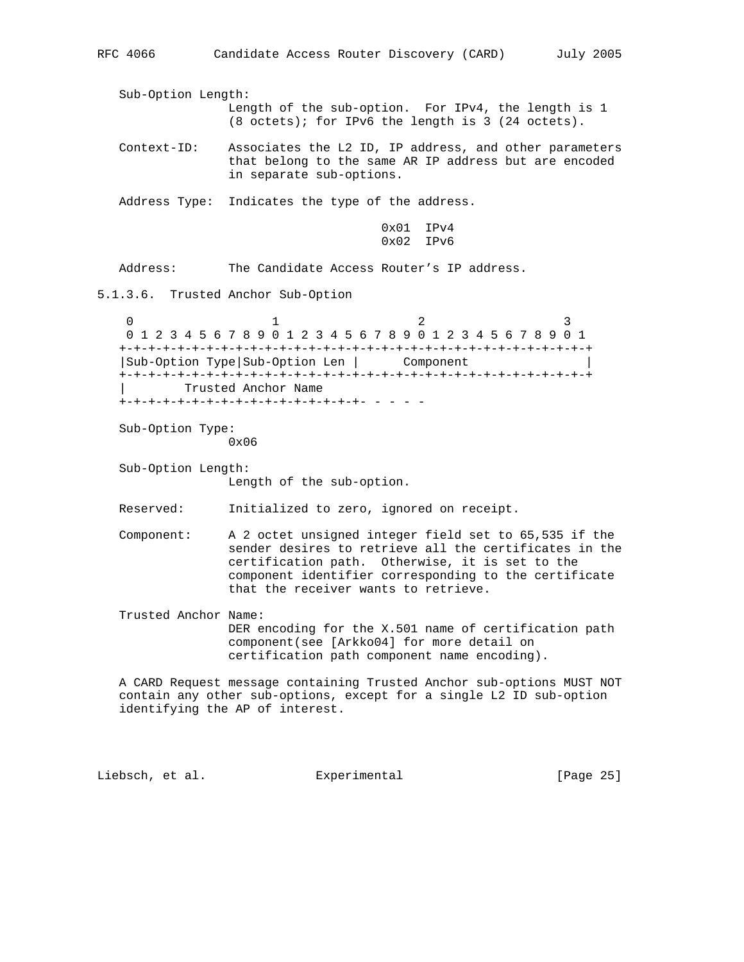Sub-Option Length: Length of the sub-option. For IPv4, the length is 1 (8 octets); for IPv6 the length is 3 (24 octets). Context-ID: Associates the L2 ID, IP address, and other parameters that belong to the same AR IP address but are encoded in separate sub-options. Address Type: Indicates the type of the address. 0x01 IPv4 0x02 IPv6 Address: The Candidate Access Router's IP address. 5.1.3.6. Trusted Anchor Sub-Option 0  $1$  2 3 0 1 2 3 4 5 6 7 8 9 0 1 2 3 4 5 6 7 8 9 0 1 2 3 4 5 6 7 8 9 0 1 +-+-+-+-+-+-+-+-+-+-+-+-+-+-+-+-+-+-+-+-+-+-+-+-+-+-+-+-+-+-+-+-+ |Sub-Option Type|Sub-Option Len | Component | +-+-+-+-+-+-+-+-+-+-+-+-+-+-+-+-+-+-+-+-+-+-+-+-+-+-+-+-+-+-+-+-+ | Trusted Anchor Name +-+-+-+-+-+-+-+-+-+-+-+-+-+-+-+-+- - - - - Sub-Option Type: 0x06 Sub-Option Length: Length of the sub-option. Reserved: Initialized to zero, ignored on receipt. Component: A 2 octet unsigned integer field set to 65,535 if the sender desires to retrieve all the certificates in the certification path. Otherwise, it is set to the component identifier corresponding to the certificate that the receiver wants to retrieve. Trusted Anchor Name: DER encoding for the X.501 name of certification path component(see [Arkko04] for more detail on certification path component name encoding). A CARD Request message containing Trusted Anchor sub-options MUST NOT contain any other sub-options, except for a single L2 ID sub-option identifying the AP of interest. Liebsch, et al. Experimental [Page 25]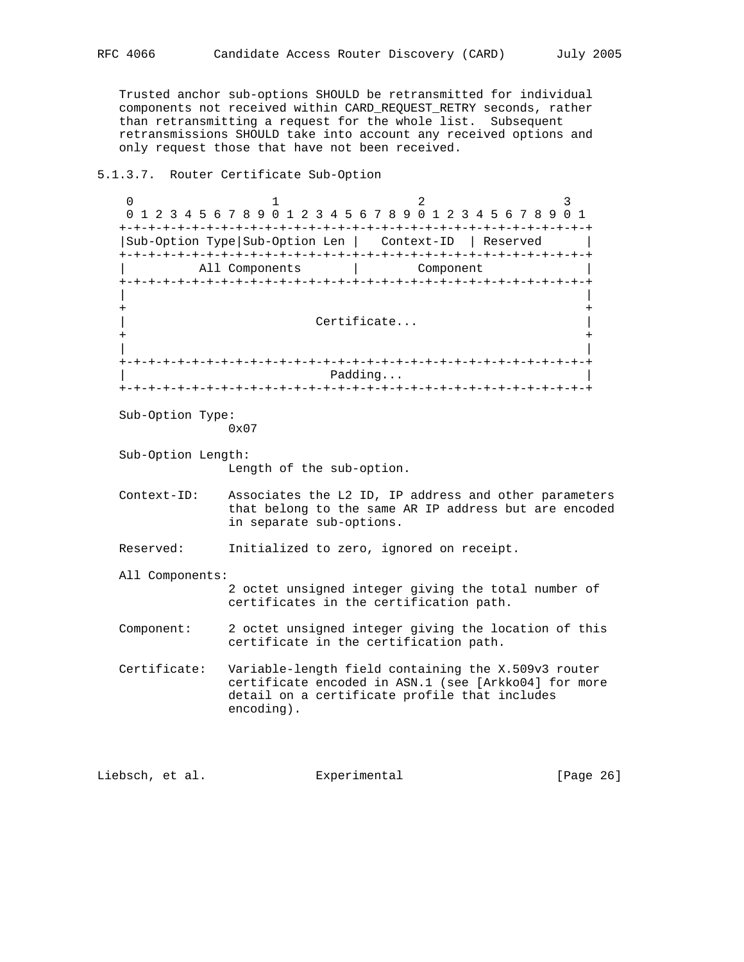Trusted anchor sub-options SHOULD be retransmitted for individual components not received within CARD\_REQUEST\_RETRY seconds, rather than retransmitting a request for the whole list. Subsequent retransmissions SHOULD take into account any received options and only request those that have not been received.

## 5.1.3.7. Router Certificate Sub-Option

0  $1$  2 3 0 1 2 3 4 5 6 7 8 9 0 1 2 3 4 5 6 7 8 9 0 1 2 3 4 5 6 7 8 9 0 1 +-+-+-+-+-+-+-+-+-+-+-+-+-+-+-+-+-+-+-+-+-+-+-+-+-+-+-+-+-+-+-+-+ |Sub-Option Type|Sub-Option Len | Context-ID | Reserved | +-+-+-+-+-+-+-+-+-+-+-+-+-+-+-+-+-+-+-+-+-+-+-+-+-+-+-+-+-+-+-+-+ All Components | Component +-+-+-+-+-+-+-+-+-+-+-+-+-+-+-+-+-+-+-+-+-+-+-+-+-+-+-+-+-+-+-+-+ | | + + Certificate... + + | | +-+-+-+-+-+-+-+-+-+-+-+-+-+-+-+-+-+-+-+-+-+-+-+-+-+-+-+-+-+-+-+-+ Padding... +-+-+-+-+-+-+-+-+-+-+-+-+-+-+-+-+-+-+-+-+-+-+-+-+-+-+-+-+-+-+-+-+ Sub-Option Type: 0x07 Sub-Option Length: Length of the sub-option. Context-ID: Associates the L2 ID, IP address and other parameters that belong to the same AR IP address but are encoded in separate sub-options. Reserved: Initialized to zero, ignored on receipt. All Components: 2 octet unsigned integer giving the total number of certificates in the certification path. Component: 2 octet unsigned integer giving the location of this certificate in the certification path. Certificate: Variable-length field containing the X.509v3 router certificate encoded in ASN.1 (see [Arkko04] for more detail on a certificate profile that includes encoding).

Liebsch, et al. Experimental [Page 26]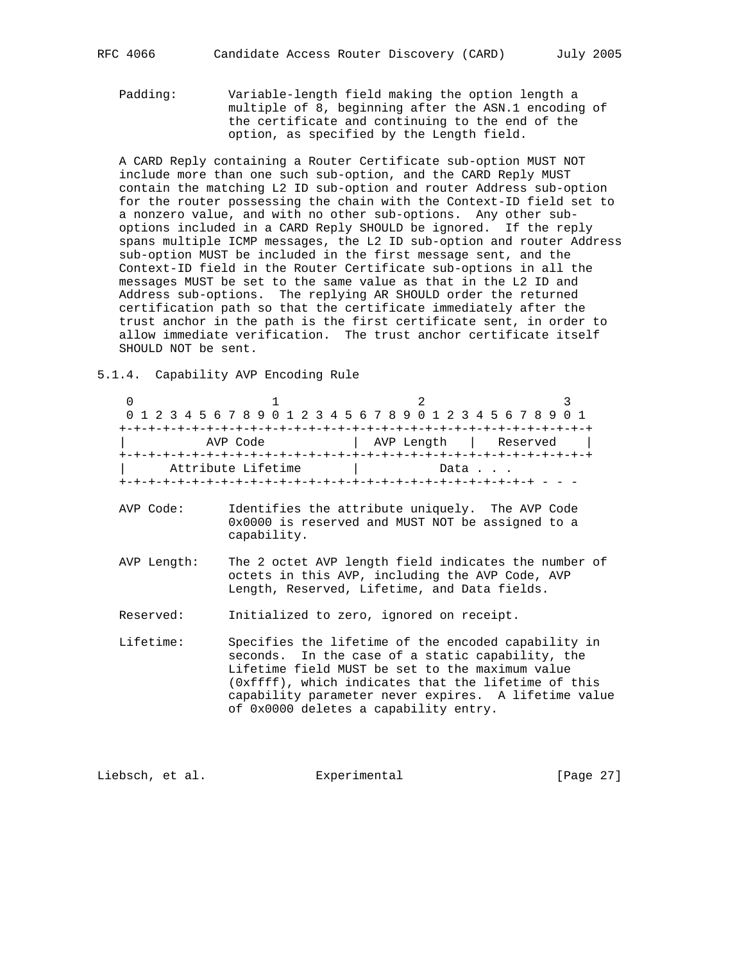Padding: Variable-length field making the option length a multiple of 8, beginning after the ASN.1 encoding of the certificate and continuing to the end of the option, as specified by the Length field.

 A CARD Reply containing a Router Certificate sub-option MUST NOT include more than one such sub-option, and the CARD Reply MUST contain the matching L2 ID sub-option and router Address sub-option for the router possessing the chain with the Context-ID field set to a nonzero value, and with no other sub-options. Any other sub options included in a CARD Reply SHOULD be ignored. If the reply spans multiple ICMP messages, the L2 ID sub-option and router Address sub-option MUST be included in the first message sent, and the Context-ID field in the Router Certificate sub-options in all the messages MUST be set to the same value as that in the L2 ID and Address sub-options. The replying AR SHOULD order the returned certification path so that the certificate immediately after the trust anchor in the path is the first certificate sent, in order to allow immediate verification. The trust anchor certificate itself SHOULD NOT be sent.

5.1.4. Capability AVP Encoding Rule

0  $1$  2 3 0 1 2 3 4 5 6 7 8 9 0 1 2 3 4 5 6 7 8 9 0 1 2 3 4 5 6 7 8 9 0 1 +-+-+-+-+-+-+-+-+-+-+-+-+-+-+-+-+-+-+-+-+-+-+-+-+-+-+-+-+-+-+-+-+ | AVP Code | AVP Length | Reserved | +-+-+-+-+-+-+-+-+-+-+-+-+-+-+-+-+-+-+-+-+-+-+-+-+-+-+-+-+-+-+-+-+ Attribute Lifetime  $|$  Data . . . +-+-+-+-+-+-+-+-+-+-+-+-+-+-+-+-+-+-+-+-+-+-+-+-+-+-+-+-+ - - - AVP Code: Identifies the attribute uniquely. The AVP Code 0x0000 is reserved and MUST NOT be assigned to a capability. AVP Length: The 2 octet AVP length field indicates the number of octets in this AVP, including the AVP Code, AVP Length, Reserved, Lifetime, and Data fields. Reserved: Initialized to zero, ignored on receipt. Lifetime: Specifies the lifetime of the encoded capability in seconds. In the case of a static capability, the Lifetime field MUST be set to the maximum value (0xffff), which indicates that the lifetime of this capability parameter never expires. A lifetime value of 0x0000 deletes a capability entry.

Liebsch, et al. Experimental [Page 27]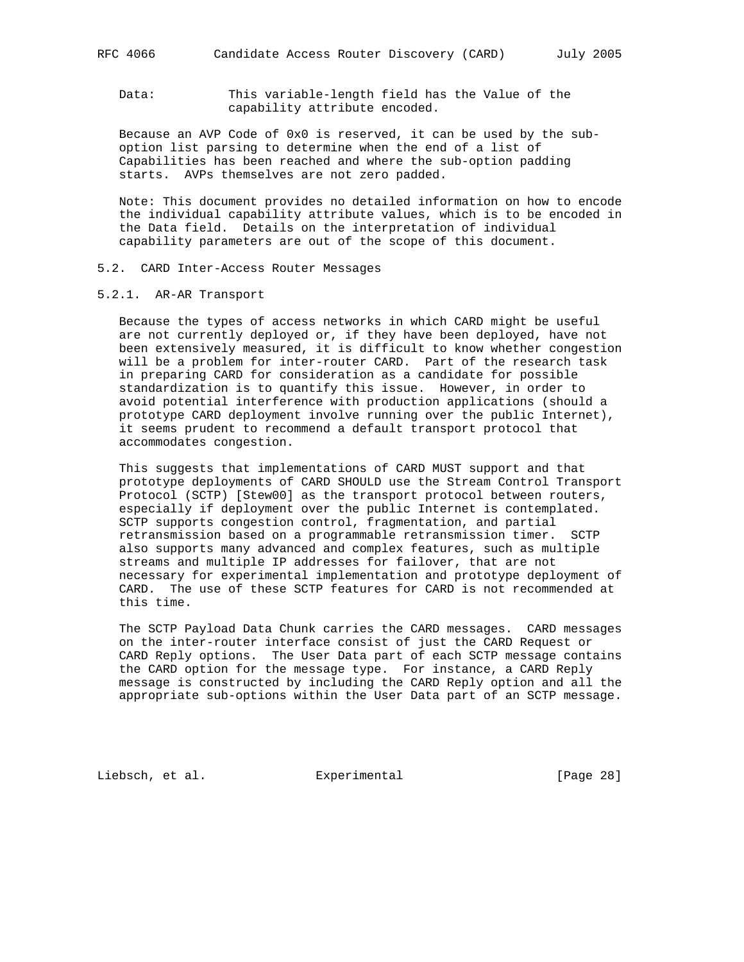Data: This variable-length field has the Value of the capability attribute encoded.

 Because an AVP Code of 0x0 is reserved, it can be used by the sub option list parsing to determine when the end of a list of Capabilities has been reached and where the sub-option padding starts. AVPs themselves are not zero padded.

 Note: This document provides no detailed information on how to encode the individual capability attribute values, which is to be encoded in the Data field. Details on the interpretation of individual capability parameters are out of the scope of this document.

- 5.2. CARD Inter-Access Router Messages
- 5.2.1. AR-AR Transport

 Because the types of access networks in which CARD might be useful are not currently deployed or, if they have been deployed, have not been extensively measured, it is difficult to know whether congestion will be a problem for inter-router CARD. Part of the research task in preparing CARD for consideration as a candidate for possible standardization is to quantify this issue. However, in order to avoid potential interference with production applications (should a prototype CARD deployment involve running over the public Internet), it seems prudent to recommend a default transport protocol that accommodates congestion.

 This suggests that implementations of CARD MUST support and that prototype deployments of CARD SHOULD use the Stream Control Transport Protocol (SCTP) [Stew00] as the transport protocol between routers, especially if deployment over the public Internet is contemplated. SCTP supports congestion control, fragmentation, and partial retransmission based on a programmable retransmission timer. SCTP also supports many advanced and complex features, such as multiple streams and multiple IP addresses for failover, that are not necessary for experimental implementation and prototype deployment of CARD. The use of these SCTP features for CARD is not recommended at this time.

 The SCTP Payload Data Chunk carries the CARD messages. CARD messages on the inter-router interface consist of just the CARD Request or CARD Reply options. The User Data part of each SCTP message contains the CARD option for the message type. For instance, a CARD Reply message is constructed by including the CARD Reply option and all the appropriate sub-options within the User Data part of an SCTP message.

Liebsch, et al. Experimental [Page 28]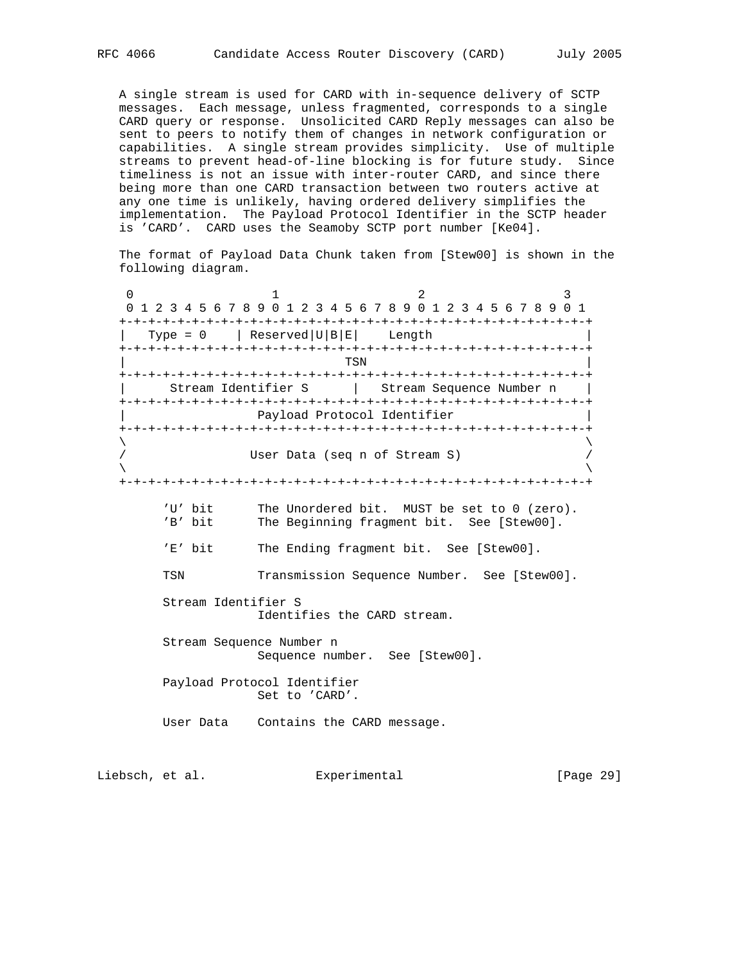A single stream is used for CARD with in-sequence delivery of SCTP messages. Each message, unless fragmented, corresponds to a single CARD query or response. Unsolicited CARD Reply messages can also be sent to peers to notify them of changes in network configuration or capabilities. A single stream provides simplicity. Use of multiple streams to prevent head-of-line blocking is for future study. Since timeliness is not an issue with inter-router CARD, and since there being more than one CARD transaction between two routers active at any one time is unlikely, having ordered delivery simplifies the implementation. The Payload Protocol Identifier in the SCTP header is 'CARD'. CARD uses the Seamoby SCTP port number [Ke04].

 The format of Payload Data Chunk taken from [Stew00] is shown in the following diagram.

0  $1$  2 3 0 1 2 3 4 5 6 7 8 9 0 1 2 3 4 5 6 7 8 9 0 1 2 3 4 5 6 7 8 9 0 1 +-+-+-+-+-+-+-+-+-+-+-+-+-+-+-+-+-+-+-+-+-+-+-+-+-+-+-+-+-+-+-+-+ | Type =  $0$  | Reserved | U|B|E| Length +-+-+-+-+-+-+-+-+-+-+-+-+-+-+-+-+-+-+-+-+-+-+-+-+-+-+-+-+-+-+-+-+ | TSN | +-+-+-+-+-+-+-+-+-+-+-+-+-+-+-+-+-+-+-+-+-+-+-+-+-+-+-+-+-+-+-+-+ | Stream Identifier S | Stream Sequence Number n | +-+-+-+-+-+-+-+-+-+-+-+-+-+-+-+-+-+-+-+-+-+-+-+-+-+-+-+-+-+-+-+-+ Payload Protocol Identifier +-+-+-+-+-+-+-+-+-+-+-+-+-+-+-+-+-+-+-+-+-+-+-+-+-+-+-+-+-+-+-+-+  $\lambda$  and  $\lambda$  and  $\lambda$  and  $\lambda$  and  $\lambda$  and  $\lambda$  and  $\lambda$  and  $\lambda$  and  $\lambda$  and  $\lambda$  and  $\lambda$  and  $\lambda$  and  $\lambda$  and  $\lambda$  and  $\lambda$  and  $\lambda$  and  $\lambda$  and  $\lambda$  and  $\lambda$  and  $\lambda$  and  $\lambda$  and  $\lambda$  and  $\lambda$  and  $\lambda$  and  $\lambda$  User Data (seq n of Stream S)  $\lambda$  and  $\lambda$  and  $\lambda$  and  $\lambda$  and  $\lambda$  and  $\lambda$  and  $\lambda$  and  $\lambda$  and  $\lambda$  and  $\lambda$  and  $\lambda$  and  $\lambda$  and  $\lambda$  and  $\lambda$  and  $\lambda$  and  $\lambda$  and  $\lambda$  and  $\lambda$  and  $\lambda$  and  $\lambda$  and  $\lambda$  and  $\lambda$  and  $\lambda$  and  $\lambda$  and  $\lambda$  +-+-+-+-+-+-+-+-+-+-+-+-+-+-+-+-+-+-+-+-+-+-+-+-+-+-+-+-+-+-+-+-+ 'U' bit The Unordered bit. MUST be set to 0 (zero). 'B' bit The Beginning fragment bit. See [Stew00]. 'E' bit The Ending fragment bit. See [Stew00]. TSN Transmission Sequence Number. See [Stew00]. Stream Identifier S Identifies the CARD stream. Stream Sequence Number n Sequence number. See [Stew00]. Payload Protocol Identifier Set to 'CARD'. User Data Contains the CARD message.

Liebsch, et al. Experimental [Page 29]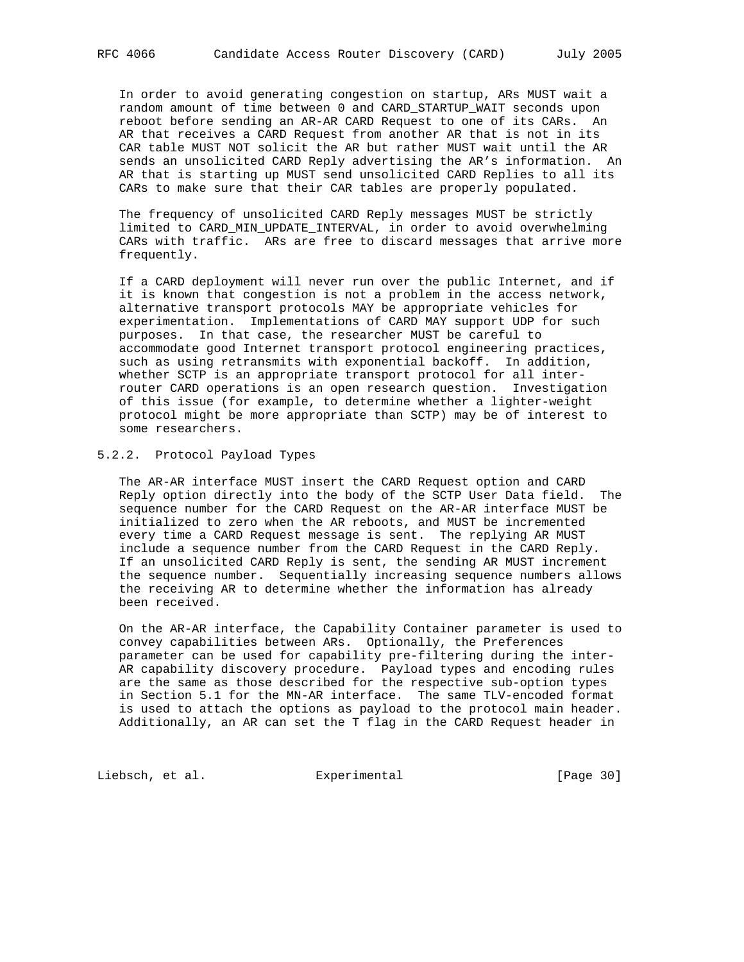In order to avoid generating congestion on startup, ARs MUST wait a random amount of time between 0 and CARD\_STARTUP\_WAIT seconds upon reboot before sending an AR-AR CARD Request to one of its CARs. An AR that receives a CARD Request from another AR that is not in its CAR table MUST NOT solicit the AR but rather MUST wait until the AR sends an unsolicited CARD Reply advertising the AR's information. An AR that is starting up MUST send unsolicited CARD Replies to all its CARs to make sure that their CAR tables are properly populated.

 The frequency of unsolicited CARD Reply messages MUST be strictly limited to CARD\_MIN\_UPDATE\_INTERVAL, in order to avoid overwhelming CARs with traffic. ARs are free to discard messages that arrive more frequently.

 If a CARD deployment will never run over the public Internet, and if it is known that congestion is not a problem in the access network, alternative transport protocols MAY be appropriate vehicles for experimentation. Implementations of CARD MAY support UDP for such purposes. In that case, the researcher MUST be careful to accommodate good Internet transport protocol engineering practices, such as using retransmits with exponential backoff. In addition, whether SCTP is an appropriate transport protocol for all inter router CARD operations is an open research question. Investigation of this issue (for example, to determine whether a lighter-weight protocol might be more appropriate than SCTP) may be of interest to some researchers.

5.2.2. Protocol Payload Types

 The AR-AR interface MUST insert the CARD Request option and CARD Reply option directly into the body of the SCTP User Data field. The sequence number for the CARD Request on the AR-AR interface MUST be initialized to zero when the AR reboots, and MUST be incremented every time a CARD Request message is sent. The replying AR MUST include a sequence number from the CARD Request in the CARD Reply. If an unsolicited CARD Reply is sent, the sending AR MUST increment the sequence number. Sequentially increasing sequence numbers allows the receiving AR to determine whether the information has already been received.

 On the AR-AR interface, the Capability Container parameter is used to convey capabilities between ARs. Optionally, the Preferences parameter can be used for capability pre-filtering during the inter- AR capability discovery procedure. Payload types and encoding rules are the same as those described for the respective sub-option types in Section 5.1 for the MN-AR interface. The same TLV-encoded format is used to attach the options as payload to the protocol main header. Additionally, an AR can set the T flag in the CARD Request header in

Liebsch, et al. Experimental [Page 30]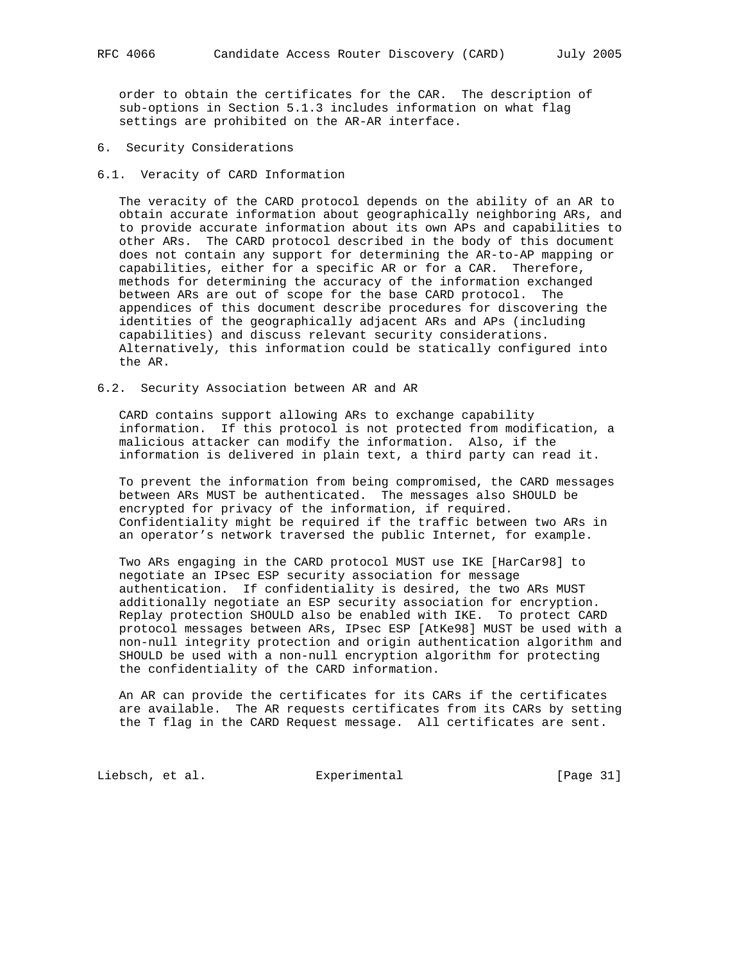order to obtain the certificates for the CAR. The description of sub-options in Section 5.1.3 includes information on what flag settings are prohibited on the AR-AR interface.

- 6. Security Considerations
- 6.1. Veracity of CARD Information

 The veracity of the CARD protocol depends on the ability of an AR to obtain accurate information about geographically neighboring ARs, and to provide accurate information about its own APs and capabilities to other ARs. The CARD protocol described in the body of this document does not contain any support for determining the AR-to-AP mapping or capabilities, either for a specific AR or for a CAR. Therefore, methods for determining the accuracy of the information exchanged between ARs are out of scope for the base CARD protocol. The appendices of this document describe procedures for discovering the identities of the geographically adjacent ARs and APs (including capabilities) and discuss relevant security considerations. Alternatively, this information could be statically configured into the AR.

6.2. Security Association between AR and AR

 CARD contains support allowing ARs to exchange capability information. If this protocol is not protected from modification, a malicious attacker can modify the information. Also, if the information is delivered in plain text, a third party can read it.

 To prevent the information from being compromised, the CARD messages between ARs MUST be authenticated. The messages also SHOULD be encrypted for privacy of the information, if required. Confidentiality might be required if the traffic between two ARs in an operator's network traversed the public Internet, for example.

 Two ARs engaging in the CARD protocol MUST use IKE [HarCar98] to negotiate an IPsec ESP security association for message authentication. If confidentiality is desired, the two ARs MUST additionally negotiate an ESP security association for encryption. Replay protection SHOULD also be enabled with IKE. To protect CARD protocol messages between ARs, IPsec ESP [AtKe98] MUST be used with a non-null integrity protection and origin authentication algorithm and SHOULD be used with a non-null encryption algorithm for protecting the confidentiality of the CARD information.

 An AR can provide the certificates for its CARs if the certificates are available. The AR requests certificates from its CARs by setting the T flag in the CARD Request message. All certificates are sent.

Liebsch, et al. Experimental [Page 31]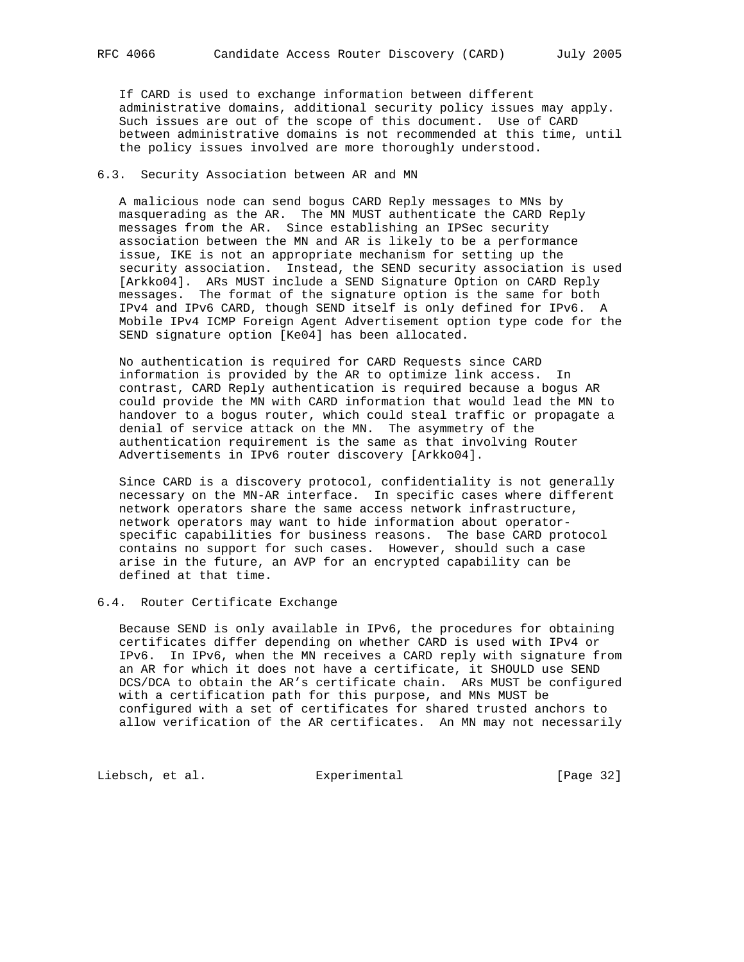If CARD is used to exchange information between different administrative domains, additional security policy issues may apply. Such issues are out of the scope of this document. Use of CARD between administrative domains is not recommended at this time, until the policy issues involved are more thoroughly understood.

### 6.3. Security Association between AR and MN

 A malicious node can send bogus CARD Reply messages to MNs by masquerading as the AR. The MN MUST authenticate the CARD Reply messages from the AR. Since establishing an IPSec security association between the MN and AR is likely to be a performance issue, IKE is not an appropriate mechanism for setting up the security association. Instead, the SEND security association is used [Arkko04]. ARs MUST include a SEND Signature Option on CARD Reply messages. The format of the signature option is the same for both IPv4 and IPv6 CARD, though SEND itself is only defined for IPv6. A Mobile IPv4 ICMP Foreign Agent Advertisement option type code for the SEND signature option [Ke04] has been allocated.

 No authentication is required for CARD Requests since CARD information is provided by the AR to optimize link access. In contrast, CARD Reply authentication is required because a bogus AR could provide the MN with CARD information that would lead the MN to handover to a bogus router, which could steal traffic or propagate a denial of service attack on the MN. The asymmetry of the authentication requirement is the same as that involving Router Advertisements in IPv6 router discovery [Arkko04].

 Since CARD is a discovery protocol, confidentiality is not generally necessary on the MN-AR interface. In specific cases where different network operators share the same access network infrastructure, network operators may want to hide information about operator specific capabilities for business reasons. The base CARD protocol contains no support for such cases. However, should such a case arise in the future, an AVP for an encrypted capability can be defined at that time.

## 6.4. Router Certificate Exchange

 Because SEND is only available in IPv6, the procedures for obtaining certificates differ depending on whether CARD is used with IPv4 or IPv6. In IPv6, when the MN receives a CARD reply with signature from an AR for which it does not have a certificate, it SHOULD use SEND DCS/DCA to obtain the AR's certificate chain. ARs MUST be configured with a certification path for this purpose, and MNs MUST be configured with a set of certificates for shared trusted anchors to allow verification of the AR certificates. An MN may not necessarily

Liebsch, et al. Experimental [Page 32]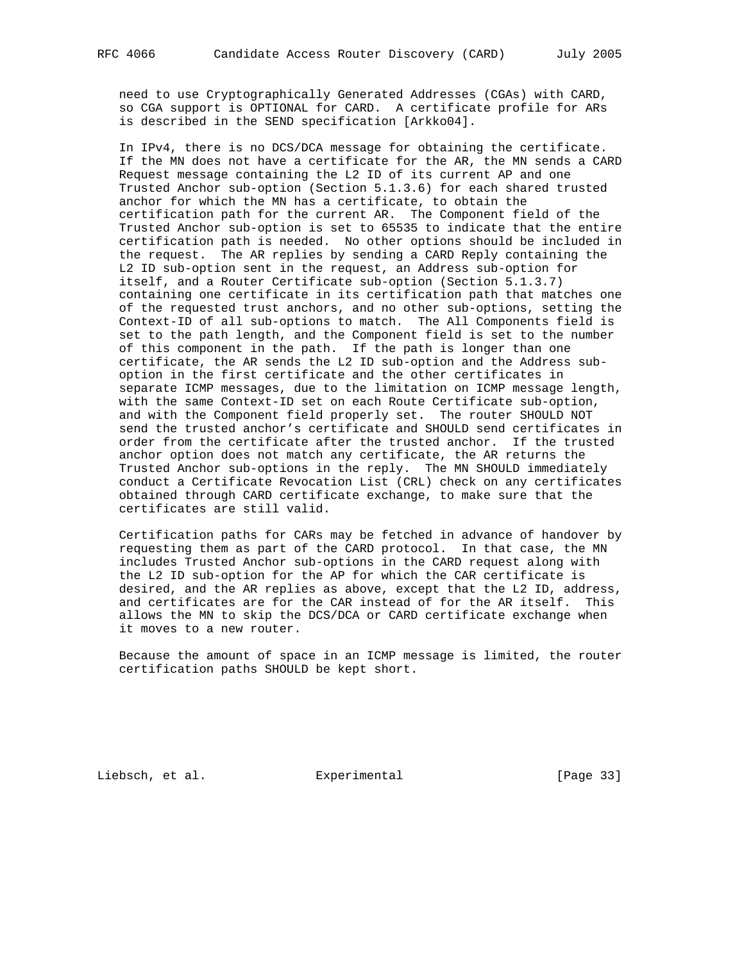need to use Cryptographically Generated Addresses (CGAs) with CARD, so CGA support is OPTIONAL for CARD. A certificate profile for ARs is described in the SEND specification [Arkko04].

 In IPv4, there is no DCS/DCA message for obtaining the certificate. If the MN does not have a certificate for the AR, the MN sends a CARD Request message containing the L2 ID of its current AP and one Trusted Anchor sub-option (Section 5.1.3.6) for each shared trusted anchor for which the MN has a certificate, to obtain the certification path for the current AR. The Component field of the Trusted Anchor sub-option is set to 65535 to indicate that the entire certification path is needed. No other options should be included in the request. The AR replies by sending a CARD Reply containing the L2 ID sub-option sent in the request, an Address sub-option for itself, and a Router Certificate sub-option (Section 5.1.3.7) containing one certificate in its certification path that matches one of the requested trust anchors, and no other sub-options, setting the Context-ID of all sub-options to match. The All Components field is set to the path length, and the Component field is set to the number of this component in the path. If the path is longer than one certificate, the AR sends the L2 ID sub-option and the Address sub option in the first certificate and the other certificates in separate ICMP messages, due to the limitation on ICMP message length, with the same Context-ID set on each Route Certificate sub-option, and with the Component field properly set. The router SHOULD NOT send the trusted anchor's certificate and SHOULD send certificates in order from the certificate after the trusted anchor. If the trusted anchor option does not match any certificate, the AR returns the Trusted Anchor sub-options in the reply. The MN SHOULD immediately conduct a Certificate Revocation List (CRL) check on any certificates obtained through CARD certificate exchange, to make sure that the certificates are still valid.

 Certification paths for CARs may be fetched in advance of handover by requesting them as part of the CARD protocol. In that case, the MN includes Trusted Anchor sub-options in the CARD request along with the L2 ID sub-option for the AP for which the CAR certificate is desired, and the AR replies as above, except that the L2 ID, address, and certificates are for the CAR instead of for the AR itself. This allows the MN to skip the DCS/DCA or CARD certificate exchange when it moves to a new router.

 Because the amount of space in an ICMP message is limited, the router certification paths SHOULD be kept short.

Liebsch, et al. Experimental [Page 33]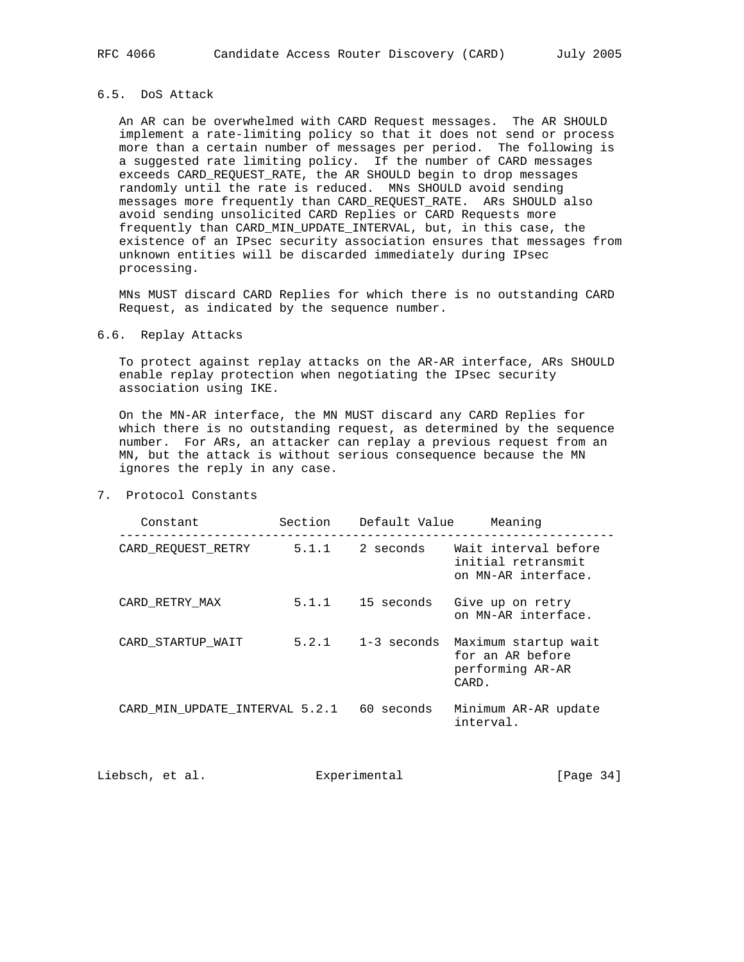## 6.5. DoS Attack

 An AR can be overwhelmed with CARD Request messages. The AR SHOULD implement a rate-limiting policy so that it does not send or process more than a certain number of messages per period. The following is a suggested rate limiting policy. If the number of CARD messages exceeds CARD\_REQUEST\_RATE, the AR SHOULD begin to drop messages randomly until the rate is reduced. MNs SHOULD avoid sending messages more frequently than CARD\_REQUEST\_RATE. ARs SHOULD also avoid sending unsolicited CARD Replies or CARD Requests more frequently than CARD\_MIN\_UPDATE\_INTERVAL, but, in this case, the existence of an IPsec security association ensures that messages from unknown entities will be discarded immediately during IPsec processing.

 MNs MUST discard CARD Replies for which there is no outstanding CARD Request, as indicated by the sequence number.

### 6.6. Replay Attacks

 To protect against replay attacks on the AR-AR interface, ARs SHOULD enable replay protection when negotiating the IPsec security association using IKE.

 On the MN-AR interface, the MN MUST discard any CARD Replies for which there is no outstanding request, as determined by the sequence number. For ARs, an attacker can replay a previous request from an MN, but the attack is without serious consequence because the MN ignores the reply in any case.

| 7.<br>Protocol Constants |  |
|--------------------------|--|
|--------------------------|--|

| Constant                       | Section | Default Value | Meaning                                                               |
|--------------------------------|---------|---------------|-----------------------------------------------------------------------|
| CARD REQUEST RETRY             | 5.1.1   | 2 seconds     | Wait interval before<br>initial retransmit<br>on MN-AR interface.     |
| CARD RETRY MAX                 | 5.1.1   | 15 seconds    | Give up on retry<br>on MN-AR interface.                               |
| CARD STARTUP WAIT              | 5.2.1   | 1-3 seconds   | Maximum startup wait<br>for an AR before<br>performing AR-AR<br>CARD. |
| CARD MIN UPDATE INTERVAL 5.2.1 |         | 60 seconds    | Minimum AR-AR update<br>interval.                                     |

Liebsch, et al. Experimental [Page 34]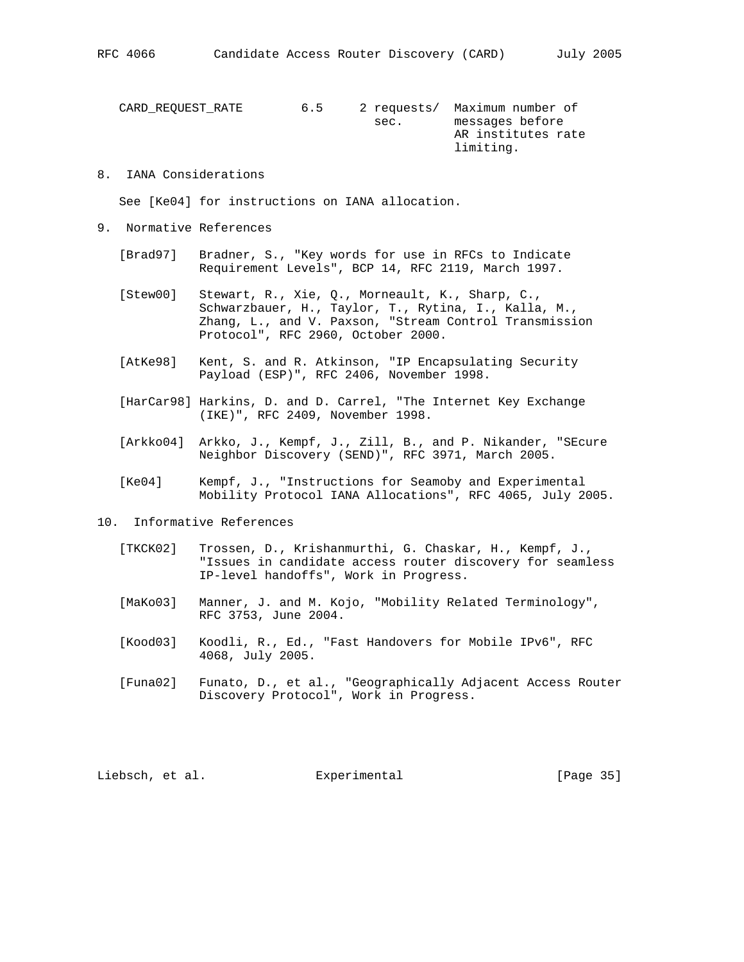CARD\_REQUEST\_RATE 6.5 2 requests/ Maximum number of sec. messages before AR institutes rate limiting.

### 8. IANA Considerations

See [Ke04] for instructions on IANA allocation.

- 9. Normative References
	- [Brad97] Bradner, S., "Key words for use in RFCs to Indicate Requirement Levels", BCP 14, RFC 2119, March 1997.
	- [Stew00] Stewart, R., Xie, Q., Morneault, K., Sharp, C., Schwarzbauer, H., Taylor, T., Rytina, I., Kalla, M., Zhang, L., and V. Paxson, "Stream Control Transmission Protocol", RFC 2960, October 2000.
	- [AtKe98] Kent, S. and R. Atkinson, "IP Encapsulating Security Payload (ESP)", RFC 2406, November 1998.
	- [HarCar98] Harkins, D. and D. Carrel, "The Internet Key Exchange (IKE)", RFC 2409, November 1998.
	- [Arkko04] Arkko, J., Kempf, J., Zill, B., and P. Nikander, "SEcure Neighbor Discovery (SEND)", RFC 3971, March 2005.
	- [Ke04] Kempf, J., "Instructions for Seamoby and Experimental Mobility Protocol IANA Allocations", RFC 4065, July 2005.
- 10. Informative References
	- [TKCK02] Trossen, D., Krishanmurthi, G. Chaskar, H., Kempf, J., "Issues in candidate access router discovery for seamless IP-level handoffs", Work in Progress.
	- [MaKo03] Manner, J. and M. Kojo, "Mobility Related Terminology", RFC 3753, June 2004.
	- [Kood03] Koodli, R., Ed., "Fast Handovers for Mobile IPv6", RFC 4068, July 2005.
	- [Funa02] Funato, D., et al., "Geographically Adjacent Access Router Discovery Protocol", Work in Progress.

Liebsch, et al. Experimental [Page 35]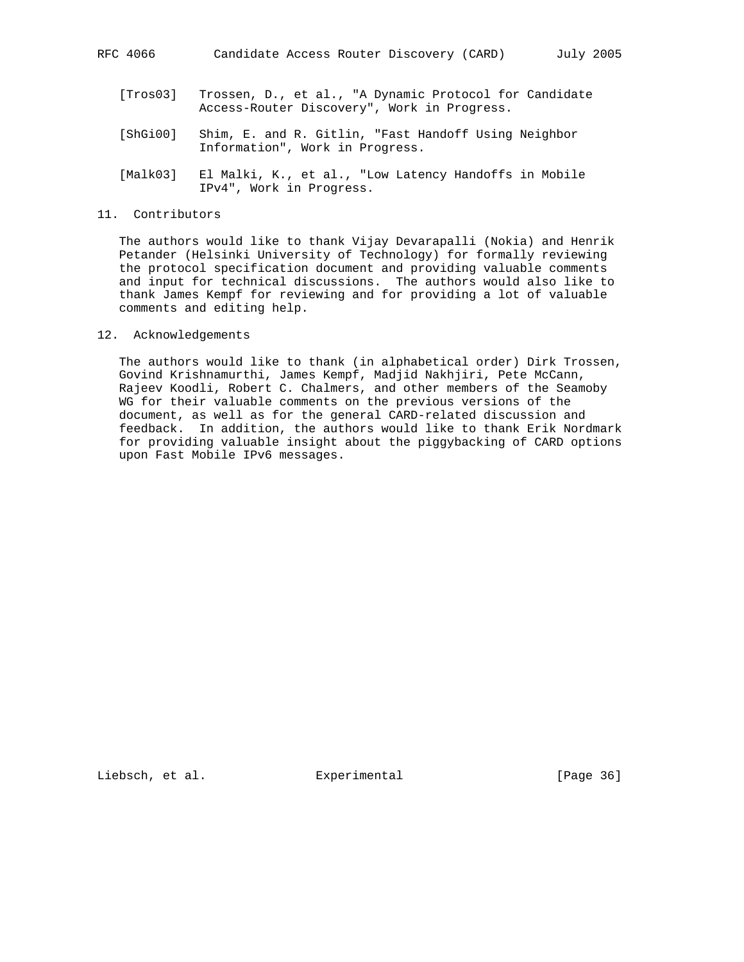- [Tros03] Trossen, D., et al., "A Dynamic Protocol for Candidate Access-Router Discovery", Work in Progress.
- [ShGi00] Shim, E. and R. Gitlin, "Fast Handoff Using Neighbor Information", Work in Progress.
- [Malk03] El Malki, K., et al., "Low Latency Handoffs in Mobile IPv4", Work in Progress.
- 11. Contributors

 The authors would like to thank Vijay Devarapalli (Nokia) and Henrik Petander (Helsinki University of Technology) for formally reviewing the protocol specification document and providing valuable comments and input for technical discussions. The authors would also like to thank James Kempf for reviewing and for providing a lot of valuable comments and editing help.

### 12. Acknowledgements

 The authors would like to thank (in alphabetical order) Dirk Trossen, Govind Krishnamurthi, James Kempf, Madjid Nakhjiri, Pete McCann, Rajeev Koodli, Robert C. Chalmers, and other members of the Seamoby WG for their valuable comments on the previous versions of the document, as well as for the general CARD-related discussion and feedback. In addition, the authors would like to thank Erik Nordmark for providing valuable insight about the piggybacking of CARD options upon Fast Mobile IPv6 messages.

Liebsch, et al. Experimental [Page 36]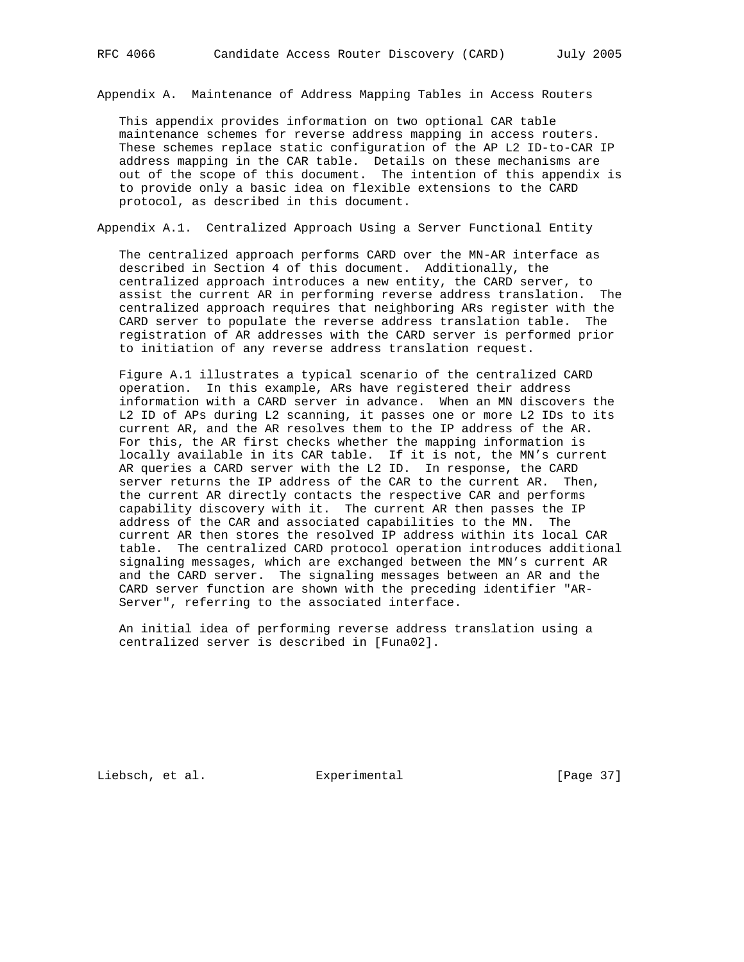Appendix A. Maintenance of Address Mapping Tables in Access Routers

 This appendix provides information on two optional CAR table maintenance schemes for reverse address mapping in access routers. These schemes replace static configuration of the AP L2 ID-to-CAR IP address mapping in the CAR table. Details on these mechanisms are out of the scope of this document. The intention of this appendix is to provide only a basic idea on flexible extensions to the CARD protocol, as described in this document.

Appendix A.1. Centralized Approach Using a Server Functional Entity

 The centralized approach performs CARD over the MN-AR interface as described in Section 4 of this document. Additionally, the centralized approach introduces a new entity, the CARD server, to assist the current AR in performing reverse address translation. The centralized approach requires that neighboring ARs register with the CARD server to populate the reverse address translation table. The registration of AR addresses with the CARD server is performed prior to initiation of any reverse address translation request.

 Figure A.1 illustrates a typical scenario of the centralized CARD operation. In this example, ARs have registered their address information with a CARD server in advance. When an MN discovers the L2 ID of APs during L2 scanning, it passes one or more L2 IDs to its current AR, and the AR resolves them to the IP address of the AR. For this, the AR first checks whether the mapping information is locally available in its CAR table. If it is not, the MN's current AR queries a CARD server with the L2 ID. In response, the CARD server returns the IP address of the CAR to the current AR. Then, the current AR directly contacts the respective CAR and performs capability discovery with it. The current AR then passes the IP address of the CAR and associated capabilities to the MN. The current AR then stores the resolved IP address within its local CAR table. The centralized CARD protocol operation introduces additional signaling messages, which are exchanged between the MN's current AR and the CARD server. The signaling messages between an AR and the CARD server function are shown with the preceding identifier "AR- Server", referring to the associated interface.

 An initial idea of performing reverse address translation using a centralized server is described in [Funa02].

Liebsch, et al. Experimental [Page 37]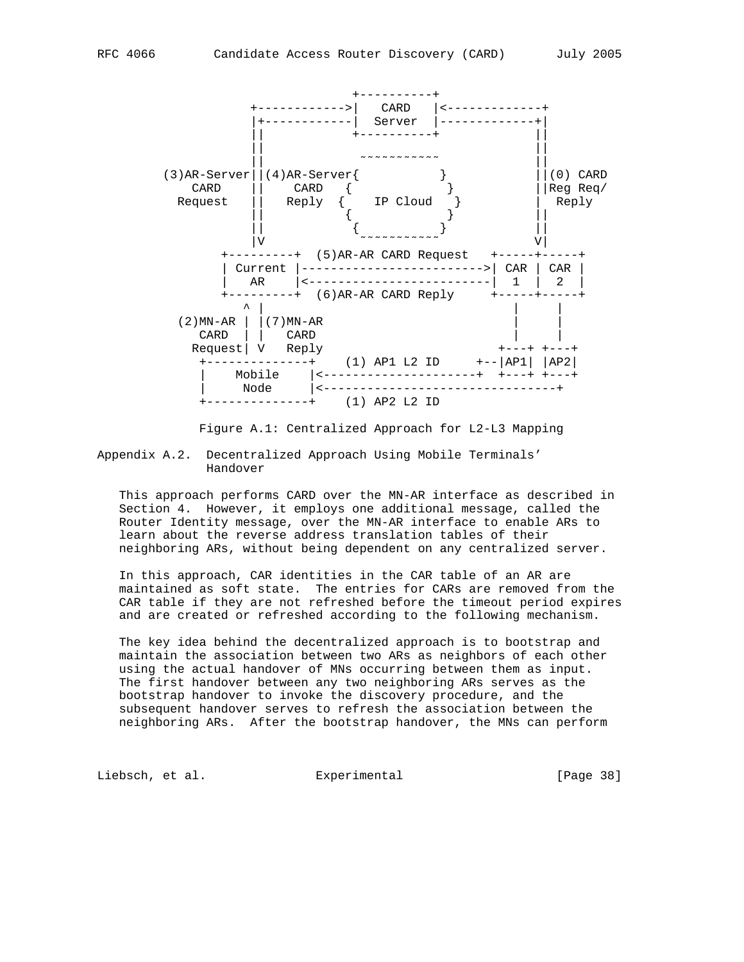

Figure A.1: Centralized Approach for L2-L3 Mapping

Appendix A.2. Decentralized Approach Using Mobile Terminals' Handover

 This approach performs CARD over the MN-AR interface as described in Section 4. However, it employs one additional message, called the Router Identity message, over the MN-AR interface to enable ARs to learn about the reverse address translation tables of their neighboring ARs, without being dependent on any centralized server.

 In this approach, CAR identities in the CAR table of an AR are maintained as soft state. The entries for CARs are removed from the CAR table if they are not refreshed before the timeout period expires and are created or refreshed according to the following mechanism.

 The key idea behind the decentralized approach is to bootstrap and maintain the association between two ARs as neighbors of each other using the actual handover of MNs occurring between them as input. The first handover between any two neighboring ARs serves as the bootstrap handover to invoke the discovery procedure, and the subsequent handover serves to refresh the association between the neighboring ARs. After the bootstrap handover, the MNs can perform

Liebsch, et al. **Experimental** [Page 38]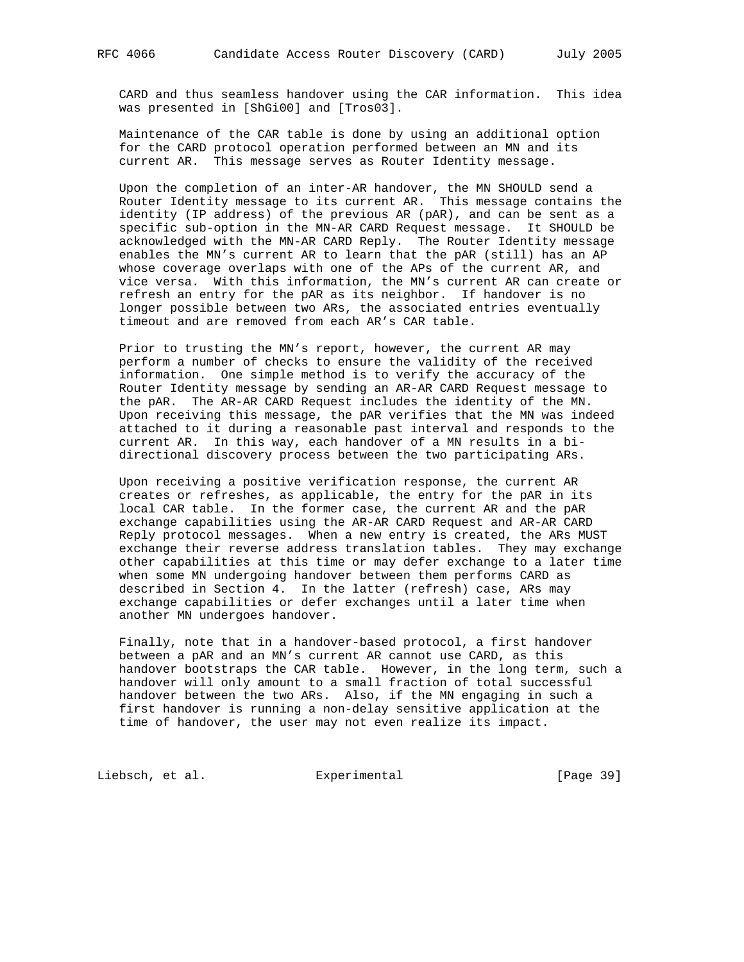CARD and thus seamless handover using the CAR information. This idea was presented in [ShGi00] and [Tros03].

 Maintenance of the CAR table is done by using an additional option for the CARD protocol operation performed between an MN and its current AR. This message serves as Router Identity message.

 Upon the completion of an inter-AR handover, the MN SHOULD send a Router Identity message to its current AR. This message contains the identity (IP address) of the previous AR (pAR), and can be sent as a specific sub-option in the MN-AR CARD Request message. It SHOULD be acknowledged with the MN-AR CARD Reply. The Router Identity message enables the MN's current AR to learn that the pAR (still) has an AP whose coverage overlaps with one of the APs of the current AR, and vice versa. With this information, the MN's current AR can create or refresh an entry for the pAR as its neighbor. If handover is no longer possible between two ARs, the associated entries eventually timeout and are removed from each AR's CAR table.

 Prior to trusting the MN's report, however, the current AR may perform a number of checks to ensure the validity of the received information. One simple method is to verify the accuracy of the Router Identity message by sending an AR-AR CARD Request message to the pAR. The AR-AR CARD Request includes the identity of the MN. Upon receiving this message, the pAR verifies that the MN was indeed attached to it during a reasonable past interval and responds to the current AR. In this way, each handover of a MN results in a bi directional discovery process between the two participating ARs.

 Upon receiving a positive verification response, the current AR creates or refreshes, as applicable, the entry for the pAR in its local CAR table. In the former case, the current AR and the pAR exchange capabilities using the AR-AR CARD Request and AR-AR CARD Reply protocol messages. When a new entry is created, the ARs MUST exchange their reverse address translation tables. They may exchange other capabilities at this time or may defer exchange to a later time when some MN undergoing handover between them performs CARD as described in Section 4. In the latter (refresh) case, ARs may exchange capabilities or defer exchanges until a later time when another MN undergoes handover.

 Finally, note that in a handover-based protocol, a first handover between a pAR and an MN's current AR cannot use CARD, as this handover bootstraps the CAR table. However, in the long term, such a handover will only amount to a small fraction of total successful handover between the two ARs. Also, if the MN engaging in such a first handover is running a non-delay sensitive application at the time of handover, the user may not even realize its impact.

Liebsch, et al. Experimental [Page 39]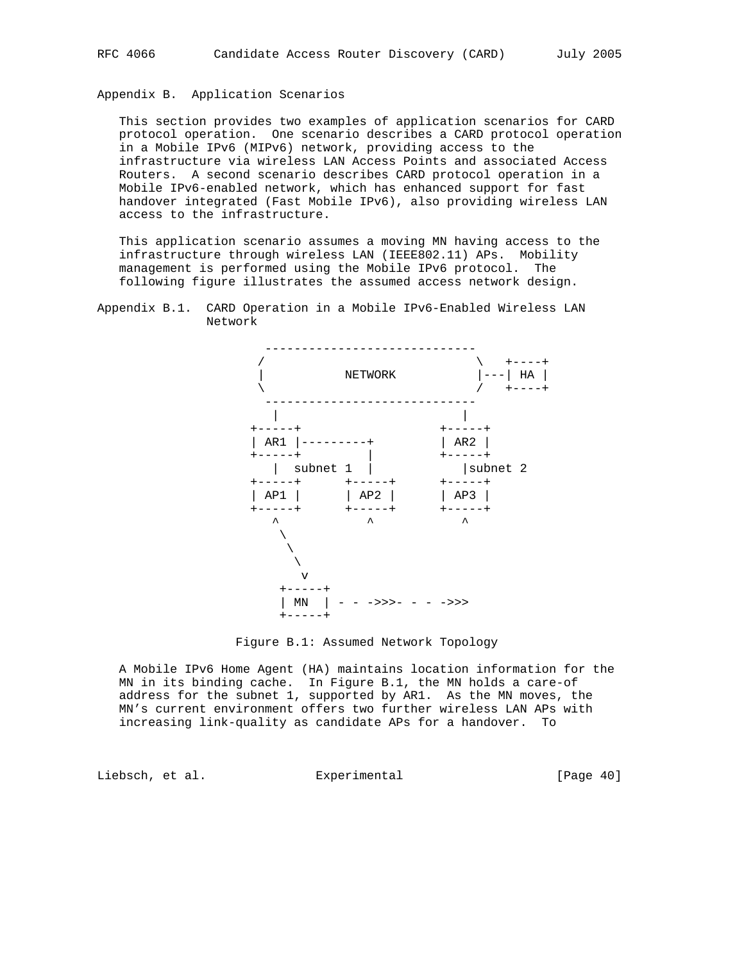## Appendix B. Application Scenarios

 This section provides two examples of application scenarios for CARD protocol operation. One scenario describes a CARD protocol operation in a Mobile IPv6 (MIPv6) network, providing access to the infrastructure via wireless LAN Access Points and associated Access Routers. A second scenario describes CARD protocol operation in a Mobile IPv6-enabled network, which has enhanced support for fast handover integrated (Fast Mobile IPv6), also providing wireless LAN access to the infrastructure.

 This application scenario assumes a moving MN having access to the infrastructure through wireless LAN (IEEE802.11) APs. Mobility management is performed using the Mobile IPv6 protocol. The following figure illustrates the assumed access network design.







 A Mobile IPv6 Home Agent (HA) maintains location information for the MN in its binding cache. In Figure B.1, the MN holds a care-of address for the subnet 1, supported by AR1. As the MN moves, the MN's current environment offers two further wireless LAN APs with increasing link-quality as candidate APs for a handover. To

Liebsch, et al. Experimental [Page 40]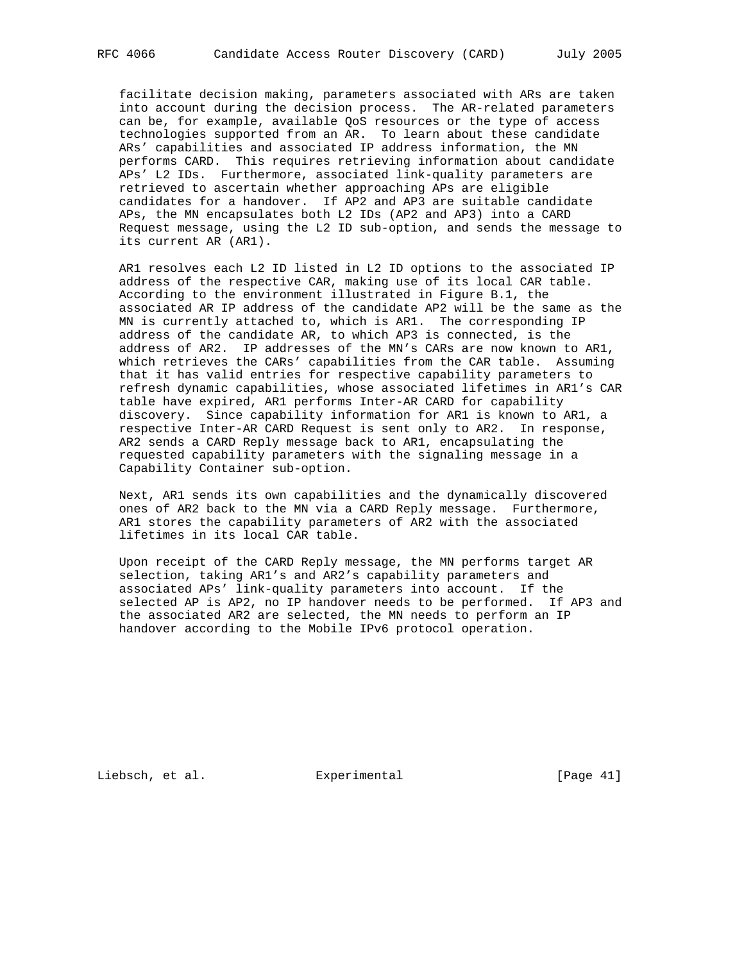facilitate decision making, parameters associated with ARs are taken into account during the decision process. The AR-related parameters can be, for example, available QoS resources or the type of access technologies supported from an AR. To learn about these candidate ARs' capabilities and associated IP address information, the MN performs CARD. This requires retrieving information about candidate APs' L2 IDs. Furthermore, associated link-quality parameters are retrieved to ascertain whether approaching APs are eligible candidates for a handover. If AP2 and AP3 are suitable candidate APs, the MN encapsulates both L2 IDs (AP2 and AP3) into a CARD Request message, using the L2 ID sub-option, and sends the message to its current AR (AR1).

 AR1 resolves each L2 ID listed in L2 ID options to the associated IP address of the respective CAR, making use of its local CAR table. According to the environment illustrated in Figure B.1, the associated AR IP address of the candidate AP2 will be the same as the MN is currently attached to, which is AR1. The corresponding IP address of the candidate AR, to which AP3 is connected, is the address of AR2. IP addresses of the MN's CARs are now known to AR1, which retrieves the CARs' capabilities from the CAR table. Assuming that it has valid entries for respective capability parameters to refresh dynamic capabilities, whose associated lifetimes in AR1's CAR table have expired, AR1 performs Inter-AR CARD for capability discovery. Since capability information for AR1 is known to AR1, a respective Inter-AR CARD Request is sent only to AR2. In response, AR2 sends a CARD Reply message back to AR1, encapsulating the requested capability parameters with the signaling message in a Capability Container sub-option.

 Next, AR1 sends its own capabilities and the dynamically discovered ones of AR2 back to the MN via a CARD Reply message. Furthermore, AR1 stores the capability parameters of AR2 with the associated lifetimes in its local CAR table.

 Upon receipt of the CARD Reply message, the MN performs target AR selection, taking AR1's and AR2's capability parameters and associated APs' link-quality parameters into account. If the selected AP is AP2, no IP handover needs to be performed. If AP3 and the associated AR2 are selected, the MN needs to perform an IP handover according to the Mobile IPv6 protocol operation.

Liebsch, et al. Experimental [Page 41]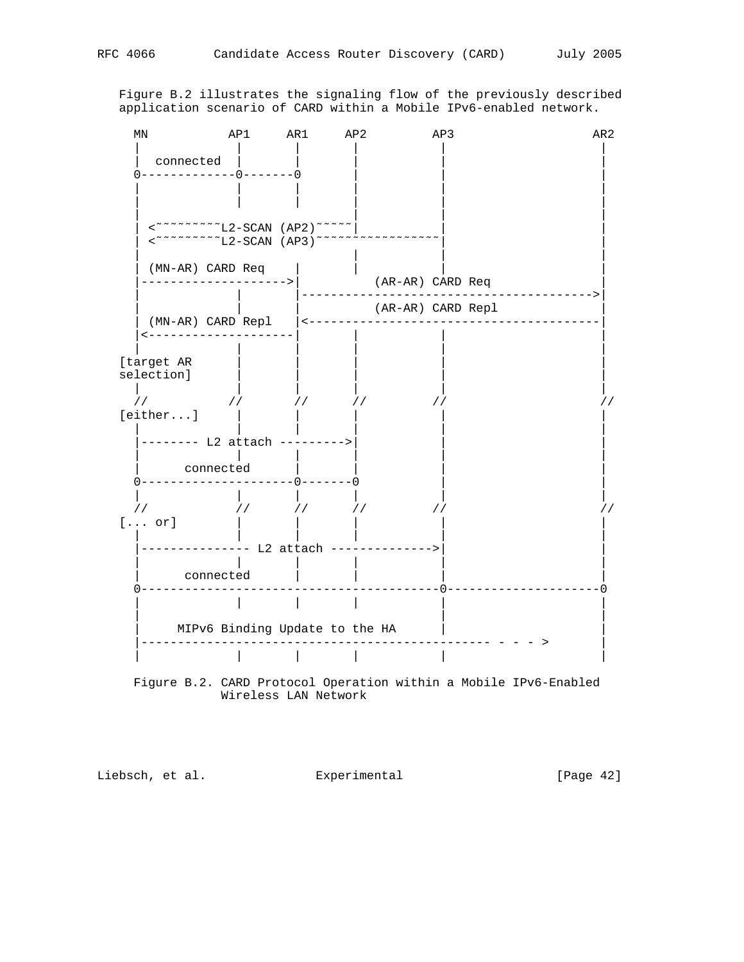Figure B.2 illustrates the signaling flow of the previously described application scenario of CARD within a Mobile IPv6-enabled network.



 Figure B.2. CARD Protocol Operation within a Mobile IPv6-Enabled Wireless LAN Network

Liebsch, et al. Experimental [Page 42]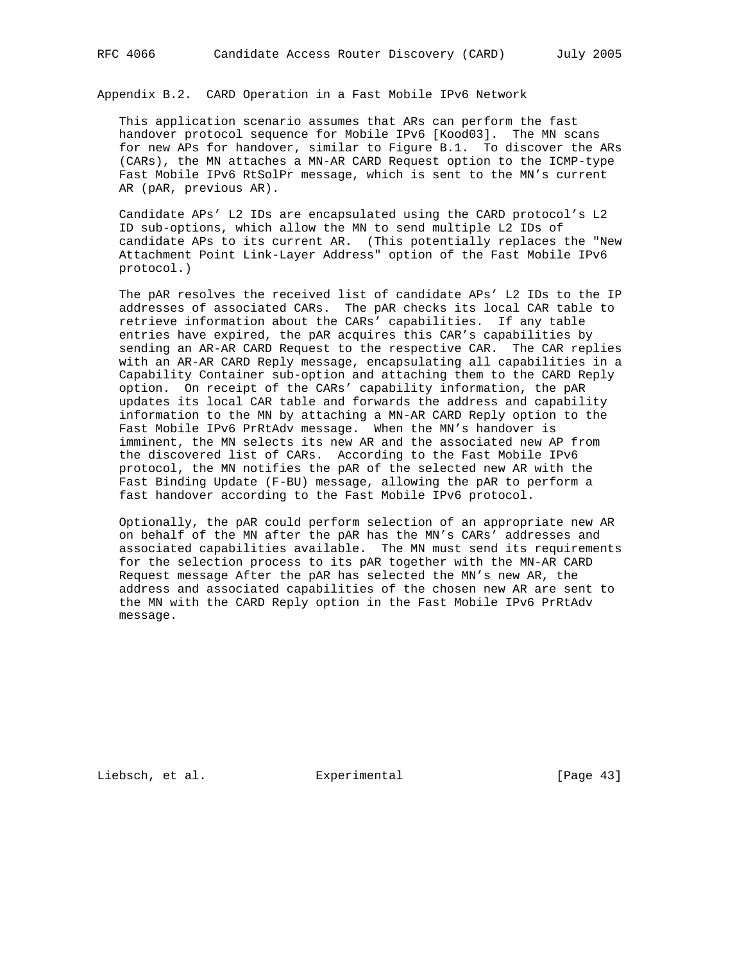Appendix B.2. CARD Operation in a Fast Mobile IPv6 Network

 This application scenario assumes that ARs can perform the fast handover protocol sequence for Mobile IPv6 [Kood03]. The MN scans for new APs for handover, similar to Figure B.1. To discover the ARs (CARs), the MN attaches a MN-AR CARD Request option to the ICMP-type Fast Mobile IPv6 RtSolPr message, which is sent to the MN's current AR (pAR, previous AR).

 Candidate APs' L2 IDs are encapsulated using the CARD protocol's L2 ID sub-options, which allow the MN to send multiple L2 IDs of candidate APs to its current AR. (This potentially replaces the "New Attachment Point Link-Layer Address" option of the Fast Mobile IPv6 protocol.)

 The pAR resolves the received list of candidate APs' L2 IDs to the IP addresses of associated CARs. The pAR checks its local CAR table to retrieve information about the CARs' capabilities. If any table entries have expired, the pAR acquires this CAR's capabilities by sending an AR-AR CARD Request to the respective CAR. The CAR replies with an AR-AR CARD Reply message, encapsulating all capabilities in a Capability Container sub-option and attaching them to the CARD Reply option. On receipt of the CARs' capability information, the pAR updates its local CAR table and forwards the address and capability information to the MN by attaching a MN-AR CARD Reply option to the Fast Mobile IPv6 PrRtAdv message. When the MN's handover is imminent, the MN selects its new AR and the associated new AP from the discovered list of CARs. According to the Fast Mobile IPv6 protocol, the MN notifies the pAR of the selected new AR with the Fast Binding Update (F-BU) message, allowing the pAR to perform a fast handover according to the Fast Mobile IPv6 protocol.

 Optionally, the pAR could perform selection of an appropriate new AR on behalf of the MN after the pAR has the MN's CARs' addresses and associated capabilities available. The MN must send its requirements for the selection process to its pAR together with the MN-AR CARD Request message After the pAR has selected the MN's new AR, the address and associated capabilities of the chosen new AR are sent to the MN with the CARD Reply option in the Fast Mobile IPv6 PrRtAdv message.

Liebsch, et al. Experimental [Page 43]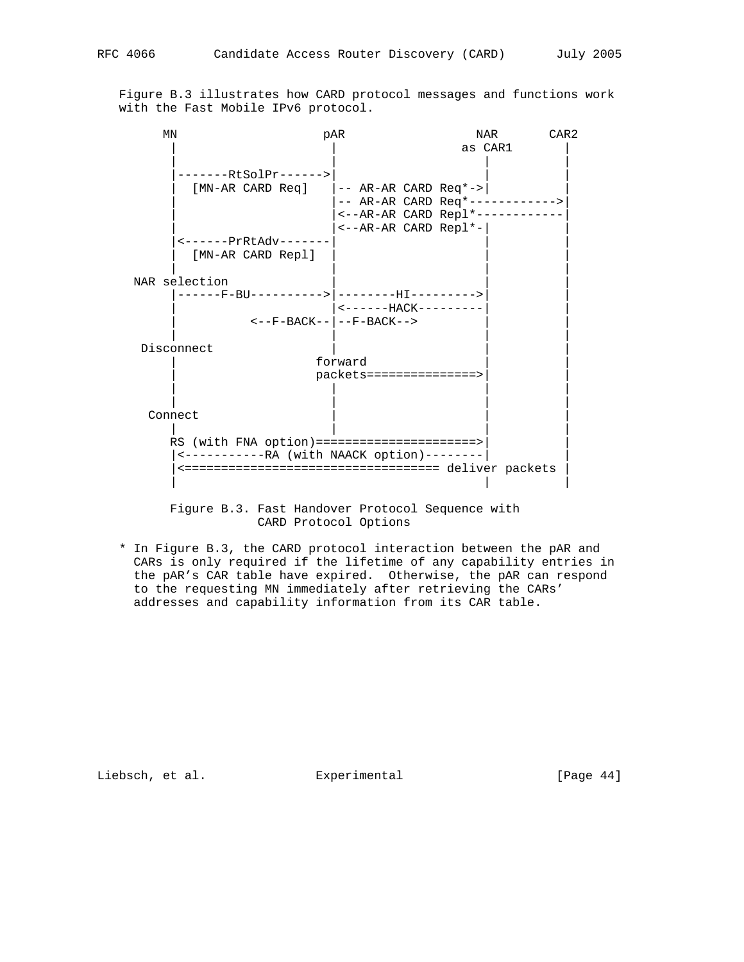Figure B.3 illustrates how CARD protocol messages and functions work with the Fast Mobile IPv6 protocol.

| MN            |                                                            | pAR                             |         | CAR <sub>2</sub><br>NAR |  |
|---------------|------------------------------------------------------------|---------------------------------|---------|-------------------------|--|
|               |                                                            |                                 | as CAR1 |                         |  |
|               | -------RtSolPr------>                                      |                                 |         |                         |  |
|               | $[MN-AR CARD Reg]$ $ -- AR-AR CARD Reg*->$                 |                                 |         |                         |  |
|               |                                                            | -- AR-AR CARD Req*------------> |         |                         |  |
|               |                                                            | <--AR-AR CARD Repl*------------ |         |                         |  |
|               |                                                            | $\leftarrow -AR-AR$ CARD Repl*- |         |                         |  |
|               | <------PrRtAdv-------                                      |                                 |         |                         |  |
|               | [MN-AR CARD Repl]                                          |                                 |         |                         |  |
| NAR selection |                                                            |                                 |         |                         |  |
|               | ------F-BU----------> --------HI---------->                |                                 |         |                         |  |
|               |                                                            | <------HACK---------            |         |                         |  |
|               |                                                            | <--F-BACK-- --F-BACK-->         |         |                         |  |
| Disconnect    |                                                            |                                 |         |                         |  |
|               |                                                            | forward                         |         |                         |  |
|               |                                                            | packets===============>         |         |                         |  |
|               |                                                            |                                 |         |                         |  |
|               |                                                            |                                 |         |                         |  |
| Connect       |                                                            |                                 |         |                         |  |
|               | RS (with FNA option) ========================>             |                                 |         |                         |  |
|               | <------------RA (with NAACK option)--------                |                                 |         |                         |  |
|               | <=================================== deliver packets       |                                 |         |                         |  |
|               |                                                            |                                 |         |                         |  |
|               |                                                            |                                 |         |                         |  |
|               | Figure B <sub>2</sub> Fest Handerer Dretegel Compange with |                                 |         |                         |  |

 Figure B.3. Fast Handover Protocol Sequence with CARD Protocol Options

 \* In Figure B.3, the CARD protocol interaction between the pAR and CARs is only required if the lifetime of any capability entries in the pAR's CAR table have expired. Otherwise, the pAR can respond to the requesting MN immediately after retrieving the CARs' addresses and capability information from its CAR table.

Liebsch, et al. Experimental [Page 44]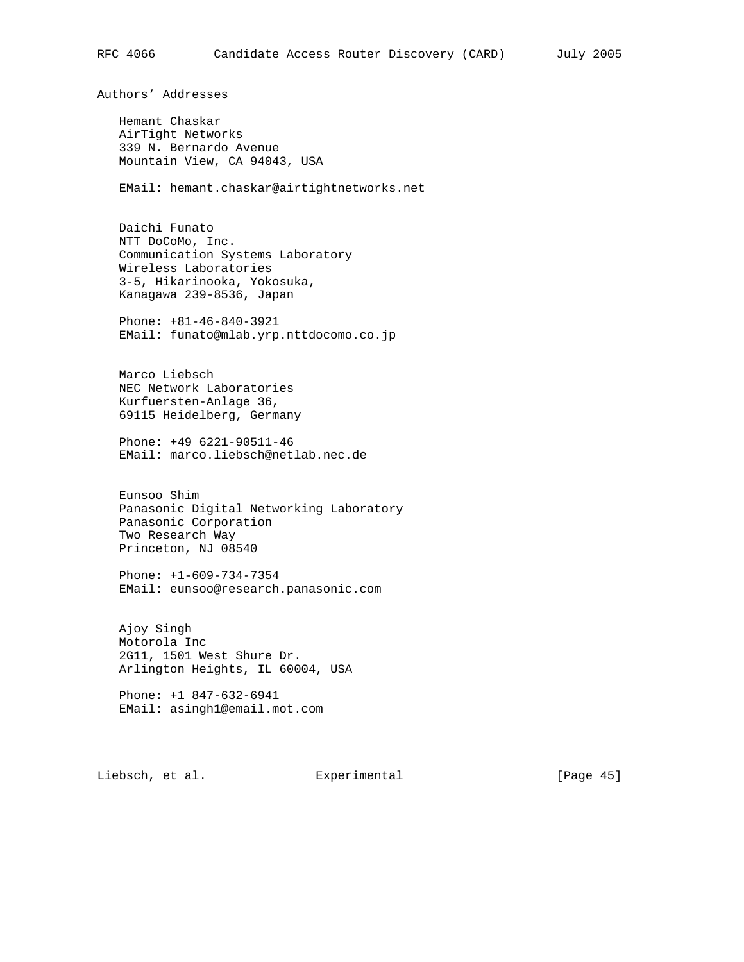Authors' Addresses

 Hemant Chaskar AirTight Networks 339 N. Bernardo Avenue Mountain View, CA 94043, USA

EMail: hemant.chaskar@airtightnetworks.net

 Daichi Funato NTT DoCoMo, Inc. Communication Systems Laboratory Wireless Laboratories 3-5, Hikarinooka, Yokosuka, Kanagawa 239-8536, Japan

 Phone: +81-46-840-3921 EMail: funato@mlab.yrp.nttdocomo.co.jp

 Marco Liebsch NEC Network Laboratories Kurfuersten-Anlage 36, 69115 Heidelberg, Germany

 Phone: +49 6221-90511-46 EMail: marco.liebsch@netlab.nec.de

 Eunsoo Shim Panasonic Digital Networking Laboratory Panasonic Corporation Two Research Way Princeton, NJ 08540

 Phone: +1-609-734-7354 EMail: eunsoo@research.panasonic.com

 Ajoy Singh Motorola Inc 2G11, 1501 West Shure Dr. Arlington Heights, IL 60004, USA

 Phone: +1 847-632-6941 EMail: asingh1@email.mot.com

Liebsch, et al. Experimental [Page 45]